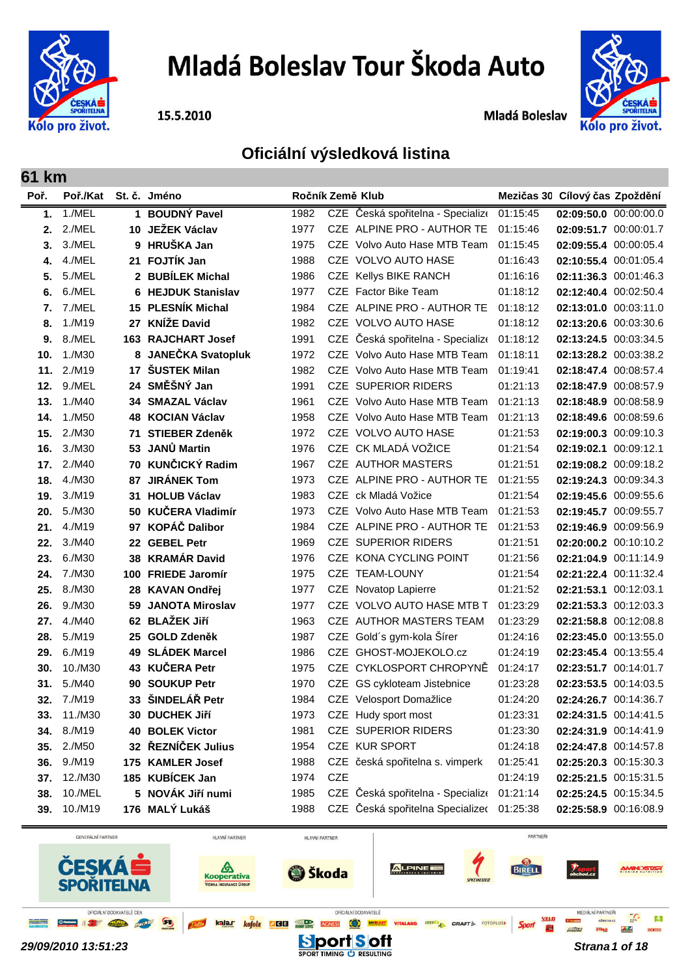

# Mladá Boleslav Tour Škoda Auto

15.5.2010

Mladá Boleslav



# **Oficiální výsledková listina**

| Poř. | Poř./Kat St. č. Jméno |     |                          | Ročník Země Klub |            |                                   | Mezičas 30 Cílový čas Zpoždění |                       |  |
|------|-----------------------|-----|--------------------------|------------------|------------|-----------------------------------|--------------------------------|-----------------------|--|
| 1.   | 1./MEL                |     | 1 BOUDNÝ Pavel           | 1982             |            | CZE Česká spořitelna - Specialize | 01:15:45                       | 02:09:50.0 00:00:00.0 |  |
| 2.   | 2./MEL                | 10  | <b>JEŽEK Václav</b>      | 1977             |            | CZE ALPINE PRO - AUTHOR TE        | 01:15:46                       | 02:09:51.7 00:00:01.7 |  |
| 3.   | 3./MEL                |     | 9 HRUŠKA Jan             | 1975             |            | CZE Volvo Auto Hase MTB Team      | 01:15:45                       | 02:09:55.4 00:00:05.4 |  |
| 4.   | 4./MEL                |     | 21 FOJTÍK Jan            | 1988             |            | CZE VOLVO AUTO HASE               | 01:16:43                       | 02:10:55.4 00:01:05.4 |  |
| 5.   | 5./MEL                |     | 2 BUBÍLEK Michal         | 1986             |            | CZE Kellys BIKE RANCH             | 01:16:16                       | 02:11:36.3 00:01:46.3 |  |
| 6.   | 6./MEL                | 6   | <b>HEJDUK Stanislav</b>  | 1977             |            | CZE Factor Bike Team              | 01:18:12                       | 02:12:40.4 00:02:50.4 |  |
| 7.   | 7./MEL                | 15  | <b>PLESNÍK Michal</b>    | 1984             |            | CZE ALPINE PRO - AUTHOR TE        | 01:18:12                       | 02:13:01.0 00:03:11.0 |  |
| 8.   | 1./M19                | 27  | <b>KNÍŽE David</b>       | 1982             |            | CZE VOLVO AUTO HASE               | 01:18:12                       | 02:13:20.6 00:03:30.6 |  |
| 9.   | 8./MEL                |     | 163 RAJCHART Josef       | 1991             |            | CZE Česká spořitelna - Specialize | 01:18:12                       | 02:13:24.5 00:03:34.5 |  |
| 10.  | 1./M30                | 8   | <b>JANEČKA Svatopluk</b> | 1972             |            | CZE Volvo Auto Hase MTB Team      | 01:18:11                       | 02:13:28.2 00:03:38.2 |  |
| 11.  | 2./M19                | 17  | <b>ŠUSTEK Milan</b>      | 1982             |            | CZE Volvo Auto Hase MTB Team      | 01:19:41                       | 02:18:47.4 00:08:57.4 |  |
| 12.  | 9./MEL                |     | 24 SMĚŠNÝ Jan            | 1991             |            | <b>CZE SUPERIOR RIDERS</b>        | 01:21:13                       | 02:18:47.9 00:08:57.9 |  |
| 13.  | 1./M40                | 34  | <b>SMAZAL Václav</b>     | 1961             |            | CZE Volvo Auto Hase MTB Team      | 01:21:13                       | 02:18:48.9 00:08:58.9 |  |
| 14.  | 1./M50                | 48  | <b>KOCIAN Václav</b>     | 1958             |            | CZE Volvo Auto Hase MTB Team      | 01:21:13                       | 02:18:49.6 00:08:59.6 |  |
| 15.  | 2./M30                | 71  | <b>STIEBER Zdeněk</b>    | 1972             |            | CZE VOLVO AUTO HASE               | 01:21:53                       | 02:19:00.3 00:09:10.3 |  |
| 16.  | 3./M30                | 53  | JANŮ Martin              | 1976             |            | CZE CK MLADÁ VOŽICE               | 01:21:54                       | 02:19:02.1 00:09:12.1 |  |
| 17.  | 2./M40                | 70  | <b>KUNČICKÝ Radim</b>    | 1967             |            | CZE AUTHOR MASTERS                | 01:21:51                       | 02:19:08.2 00:09:18.2 |  |
| 18.  | 4./M30                | 87  | <b>JIRÁNEK Tom</b>       | 1973             |            | CZE ALPINE PRO - AUTHOR TE        | 01:21:55                       | 02:19:24.3 00:09:34.3 |  |
| 19.  | 3./M19                | 31  | <b>HOLUB Václav</b>      | 1983             |            | CZE ck Mladá Vožice               | 01:21:54                       | 02:19:45.6 00:09:55.6 |  |
| 20.  | 5./M30                | 50  | <b>KUČERA Vladimír</b>   | 1973             |            | CZE Volvo Auto Hase MTB Team      | 01:21:53                       | 02:19:45.7 00:09:55.7 |  |
| 21.  | 4./M19                | 97  | <b>KOPÁČ Dalibor</b>     | 1984             |            | CZE ALPINE PRO - AUTHOR TE        | 01:21:53                       | 02:19:46.9 00:09:56.9 |  |
| 22.  | 3./M40                | 22  | <b>GEBEL Petr</b>        | 1969             |            | <b>CZE SUPERIOR RIDERS</b>        | 01:21:51                       | 02:20:00.2 00:10:10.2 |  |
| 23.  | 6./M30                | 38  | <b>KRAMÁR David</b>      | 1976             |            | CZE KONA CYCLING POINT            | 01:21:56                       | 02:21:04.9 00:11:14.9 |  |
| 24.  | 7./M30                | 100 | <b>FRIEDE Jaromír</b>    | 1975             |            | CZE TEAM-LOUNY                    | 01:21:54                       | 02:21:22.4 00:11:32.4 |  |
| 25.  | 8./M30                | 28  | <b>KAVAN Ondřej</b>      | 1977             |            | CZE Novatop Lapierre              | 01:21:52                       | 02:21:53.1 00:12:03.1 |  |
| 26.  | 9./M30                | 59  | <b>JANOTA Miroslav</b>   | 1977             |            | CZE VOLVO AUTO HASE MTB T         | 01:23:29                       | 02:21:53.3 00:12:03.3 |  |
| 27.  | 4./M40                | 62  | <b>BLAŽEK Jiří</b>       | 1963             |            | CZE AUTHOR MASTERS TEAM           | 01:23:29                       | 02:21:58.8 00:12:08.8 |  |
| 28.  | 5./M19                | 25  | <b>GOLD Zdeněk</b>       | 1987             |            | CZE Gold's gym-kola Šírer         | 01:24:16                       | 02:23:45.0 00:13:55.0 |  |
| 29.  | 6./M19                | 49  | <b>SLÁDEK Marcel</b>     | 1986             |            | CZE GHOST-MOJEKOLO.cz             | 01:24:19                       | 02:23:45.4 00:13:55.4 |  |
| 30.  | 10./M30               | 43  | <b>KUČERA Petr</b>       | 1975             |            | CZE CYKLOSPORT CHROPYNĚ           | 01:24:17                       | 02:23:51.7 00:14:01.7 |  |
| 31.  | 5./M40                | 90  | <b>SOUKUP Petr</b>       | 1970             |            | CZE GS cykloteam Jistebnice       | 01:23:28                       | 02:23:53.5 00:14:03.5 |  |
|      | 32. 7./M19            | 33  | ŠINDELÁŘ Petr            | 1984             |            | CZE Velosport Domažlice           | 01:24:20                       | 02:24:26.7 00:14:36.7 |  |
| 33.  | 11./M30               |     | 30 DUCHEK Jiří           | 1973             |            | CZE Hudy sport most               | 01:23:31                       | 02:24:31.5 00:14:41.5 |  |
| 34.  | 8./M19                | 40  | <b>BOLEK Victor</b>      | 1981             |            | CZE SUPERIOR RIDERS               | 01:23:30                       | 02:24:31.9 00:14:41.9 |  |
| 35.  | 2./M50                |     | 32 ŘEZNÍČEK Julius       | 1954             |            | CZE KUR SPORT                     | 01:24:18                       | 02:24:47.8 00:14:57.8 |  |
| 36.  | 9./M19                |     | 175 KAMLER Josef         | 1988             |            | CZE česká spořitelna s. vimperk   | 01:25:41                       | 02:25:20.3 00:15:30.3 |  |
| 37.  | 12./M30               |     | 185 KUBÍCEK Jan          | 1974             | <b>CZE</b> |                                   | 01:24:19                       | 02:25:21.5 00:15:31.5 |  |
| 38.  | 10./MEL               |     | 5 NOVÁK Jiří numi        | 1985             |            | CZE Česká spořitelna - Specialize | 01:21:14                       | 02:25:24.5 00:15:34.5 |  |
| 39.  | 10./M19               |     | 176 MALÝ Lukáš           | 1988             |            | CZE Česká spořitelna Specializeo  | 01:25:38                       | 02:25:58.9 00:16:08.9 |  |

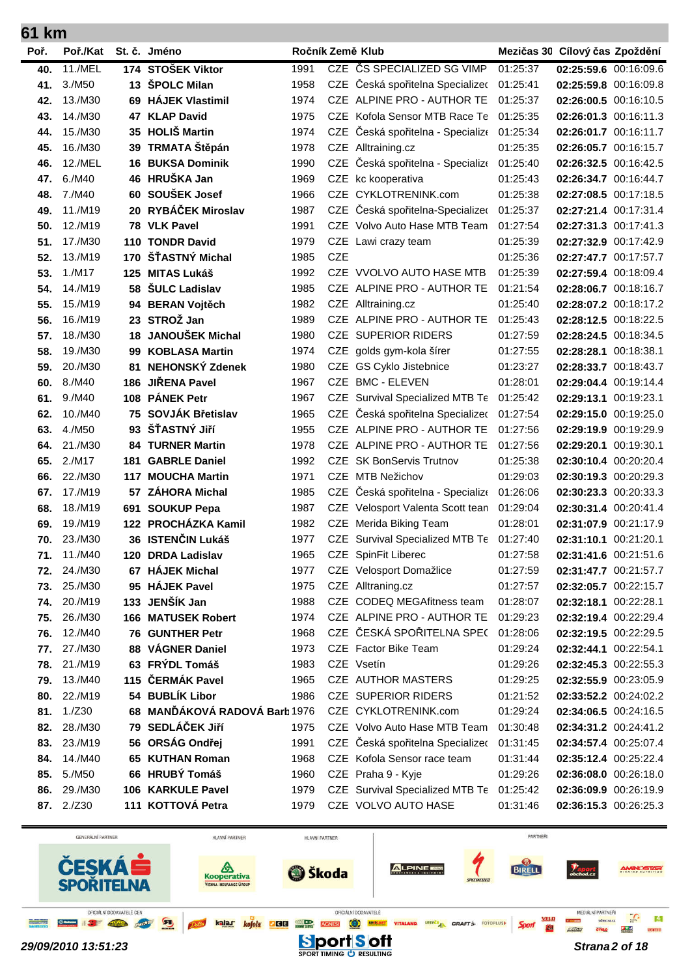| 61 km |            |     |                               |      |            |                                   |          |                                |  |
|-------|------------|-----|-------------------------------|------|------------|-----------------------------------|----------|--------------------------------|--|
| Poř.  | Poř./Kat   |     | St. č. Jméno                  |      |            | Ročník Země Klub                  |          | Mezičas 30 Cílový čas Zpoždění |  |
| 40.   | 11./MEL    |     | 174 STOŠEK Viktor             | 1991 |            | CZE ČS SPECIALIZED SG VIMP        | 01:25:37 | 02:25:59.6 00:16:09.6          |  |
| 41.   | 3./M50     |     | 13 SPOLC Milan                | 1958 |            | CZE Česká spořitelna Specializeo  | 01:25:41 | 02:25:59.8 00:16:09.8          |  |
| 42.   | 13./M30    | 69  | <b>HÁJEK Vlastimil</b>        | 1974 |            | CZE ALPINE PRO - AUTHOR TE        | 01:25:37 | 02:26:00.5 00:16:10.5          |  |
| 43.   | 14./M30    |     | 47 KLAP David                 | 1975 |            | CZE Kofola Sensor MTB Race Te     | 01:25:35 | 02:26:01.3 00:16:11.3          |  |
| 44.   | 15./M30    |     | 35 HOLIŠ Martin               | 1974 |            | CZE Česká spořitelna - Specialize | 01:25:34 | 02:26:01.7 00:16:11.7          |  |
| 45.   | 16./M30    | 39  | TRMATA Štěpán                 | 1978 |            | CZE Alltraining.cz                | 01:25:35 | 02:26:05.7 00:16:15.7          |  |
| 46.   | 12./MEL    | 16  | <b>BUKSA Dominik</b>          | 1990 | <b>CZE</b> | Česká spořitelna - Specialize     | 01:25:40 | 02:26:32.5 00:16:42.5          |  |
| 47.   | 6./M40     | 46  | HRUŠKA Jan                    | 1969 |            | CZE kc kooperativa                | 01:25:43 | 02:26:34.7 00:16:44.7          |  |
| 48.   | 7./M40     | 60  | SOUŠEK Josef                  | 1966 |            | CZE CYKLOTRENINK.com              | 01:25:38 | 02:27:08.5 00:17:18.5          |  |
| 49.   | 11./M19    |     | 20 RYBÁČEK Miroslav           | 1987 |            | CZE Česká spořitelna-Specializeo  | 01:25:37 | 02:27:21.4 00:17:31.4          |  |
| 50.   | 12./M19    |     | 78 VLK Pavel                  | 1991 |            | CZE Volvo Auto Hase MTB Team      | 01:27:54 | 02:27:31.3 00:17:41.3          |  |
| 51.   | 17./M30    |     | 110 TONDR David               | 1979 | CZE        | Lawi crazy team                   | 01:25:39 | 02:27:32.9 00:17:42.9          |  |
| 52.   | 13./M19    | 170 | ŠŤASTNÝ Michal                | 1985 | <b>CZE</b> |                                   | 01:25:36 | 02:27:47.7 00:17:57.7          |  |
| 53.   | 1./M17     | 125 | <b>MITAS Lukáš</b>            | 1992 |            | CZE VVOLVO AUTO HASE MTB          | 01:25:39 | 02:27:59.4 00:18:09.4          |  |
| 54.   | 14./M19    | 58  | <b>ŠULC Ladislav</b>          | 1985 |            | CZE ALPINE PRO - AUTHOR TE        | 01:21:54 | 02:28:06.7 00:18:16.7          |  |
| 55.   | 15./M19    | 94  | <b>BERAN Vojtěch</b>          | 1982 |            | CZE Alltraining.cz                | 01:25:40 | 02:28:07.2 00:18:17.2          |  |
| 56.   | 16./M19    |     | 23 STROŽ Jan                  | 1989 | CZE.       | ALPINE PRO - AUTHOR TE            | 01:25:43 | 02:28:12.5 00:18:22.5          |  |
| 57.   | 18./M30    | 18  | <b>JANOUŠEK Michal</b>        | 1980 |            | <b>CZE SUPERIOR RIDERS</b>        | 01:27:59 | 02:28:24.5 00:18:34.5          |  |
| 58.   | 19./M30    | 99  | <b>KOBLASA Martin</b>         | 1974 |            | CZE golds gym-kola šírer          | 01:27:55 | 02:28:28.1 00:18:38.1          |  |
| 59.   | 20./M30    | 81  | NEHONSKÝ Zdenek               | 1980 |            | CZE GS Cyklo Jistebnice           | 01:23:27 | 02:28:33.7 00:18:43.7          |  |
| 60.   | 8./M40     | 186 | <b>JIŘENA Pavel</b>           | 1967 | CZE.       | <b>BMC - ELEVEN</b>               | 01:28:01 | 02:29:04.4 00:19:14.4          |  |
| 61.   | 9./M40     | 108 | <b>PÁNEK Petr</b>             | 1967 |            | CZE Survival Specialized MTB Te   | 01:25:42 | 02:29:13.1 00:19:23.1          |  |
| 62.   | 10./M40    |     | 75 SOVJÁK Břetislav           | 1965 |            | CZE Česká spořitelna Specializec  | 01:27:54 | 02:29:15.0 00:19:25.0          |  |
| 63.   | 4./M50     |     | 93 ŠŤASTNÝ JIří               | 1955 |            | CZE ALPINE PRO - AUTHOR TE        | 01:27:56 | 02:29:19.9 00:19:29.9          |  |
| 64.   | 21./M30    |     | <b>84 TURNER Martin</b>       | 1978 |            | CZE ALPINE PRO - AUTHOR TE        | 01:27:56 | 02:29:20.1 00:19:30.1          |  |
| 65.   | 2./M17     | 181 | <b>GABRLE Daniel</b>          | 1992 |            | CZE SK BonServis Trutnov          | 01:25:38 | 02:30:10.4 00:20:20.4          |  |
| 66.   | 22./M30    | 117 | <b>MOUCHA Martin</b>          | 1971 | <b>CZE</b> | MTB Nežichov                      | 01:29:03 | 02:30:19.3 00:20:29.3          |  |
| 67.   | 17./M19    | 57  | <b>ZÁHORA Michal</b>          | 1985 |            | CZE Česká spořitelna - Specialize | 01:26:06 | 02:30:23.3 00:20:33.3          |  |
| 68.   | 18./M19    | 691 | <b>SOUKUP Pepa</b>            | 1987 |            | CZE Velosport Valenta Scott tean  | 01:29:04 | 02:30:31.4 00:20:41.4          |  |
| 69.   | 19./M19    |     | 122 PROCHÁZKA Kamil           | 1982 |            | CZE Merida Biking Team            | 01:28:01 | 02:31:07.9 00:21:17.9          |  |
| 70.   | 23./M30    |     | 36 ISTENČIN Lukáš             | 1977 |            | CZE Survival Specialized MTB Te   | 01:27:40 | 02:31:10.1 00:21:20.1          |  |
| 71.   | 11./M40    |     | 120 DRDA Ladislav             | 1965 |            | <b>CZE</b> SpinFit Liberec        | 01:27:58 | 02:31:41.6 00:21:51.6          |  |
| 72.   | 24./M30    |     | 67 HÁJEK Michal               | 1977 |            | CZE Velosport Domažlice           | 01:27:59 | 02:31:47.7 00:21:57.7          |  |
| 73.   | 25./M30    |     | 95 HÁJEK Pavel                | 1975 |            | CZE Alltraning.cz                 | 01:27:57 | 02:32:05.7 00:22:15.7          |  |
| 74.   | 20./M19    |     | 133 JENŠÍK Jan                | 1988 |            | CZE CODEQ MEGAfitness team        | 01:28:07 | 02:32:18.1 00:22:28.1          |  |
| 75.   | 26./M30    |     | <b>166 MATUSEK Robert</b>     | 1974 |            | CZE ALPINE PRO - AUTHOR TE        | 01:29:23 | 02:32:19.4 00:22:29.4          |  |
| 76.   | 12./M40    |     | 76 GUNTHER Petr               | 1968 |            | CZE ČESKÁ SPOŘITELNA SPE(         | 01:28:06 | 02:32:19.5 00:22:29.5          |  |
| 77.   | 27./M30    |     | 88 VÁGNER Daniel              | 1973 |            | CZE Factor Bike Team              | 01:29:24 | 02:32:44.1 00:22:54.1          |  |
| 78.   | 21./M19    |     | 63 FRÝDL Tomáš                | 1983 |            | CZE Vsetín                        | 01:29:26 | 02:32:45.3 00:22:55.3          |  |
| 79.   | 13./M40    |     | 115 ČERMÁK Pavel              | 1965 |            | CZE AUTHOR MASTERS                | 01:29:25 | 02:32:55.9 00:23:05.9          |  |
| 80.   | 22./M19    |     | 54 BUBLÍK Libor               | 1986 |            | CZE SUPERIOR RIDERS               | 01:21:52 | 02:33:52.2 00:24:02.2          |  |
| 81.   | 1./Z30     |     | 68 MANĎÁKOVÁ RADOVÁ Barb 1976 |      |            | CZE CYKLOTRENINK.com              | 01:29:24 | 02:34:06.5 00:24:16.5          |  |
| 82.   | 28./M30    |     | 79 SEDLÁČEK JIří              | 1975 |            | CZE Volvo Auto Hase MTB Team      | 01:30:48 | 02:34:31.2 00:24:41.2          |  |
| 83.   | 23./M19    |     | 56 ORSÁG Ondřej               | 1991 |            | CZE Česká spořitelna Specializec  | 01:31:45 | 02:34:57.4 00:25:07.4          |  |
| 84.   | 14./M40    |     | 65 KUTHAN Roman               | 1968 |            | CZE Kofola Sensor race team       | 01:31:44 | 02:35:12.4 00:25:22.4          |  |
| 85.   | 5./M50     |     | 66 HRUBÝ Tomáš                | 1960 |            | CZE Praha 9 - Kyje                | 01:29:26 | 02:36:08.0 00:26:18.0          |  |
| 86.   | 29./M30    |     | 106 KARKULE Pavel             | 1979 |            | CZE Survival Specialized MTB Te   | 01:25:42 | 02:36:09.9 00:26:19.9          |  |
|       | 87. 2./Z30 |     | 111 KOTTOVÁ Petra             | 1979 |            | CZE VOLVO AUTO HASE               | 01:31:46 | 02:36:15.3 00:26:25.3          |  |

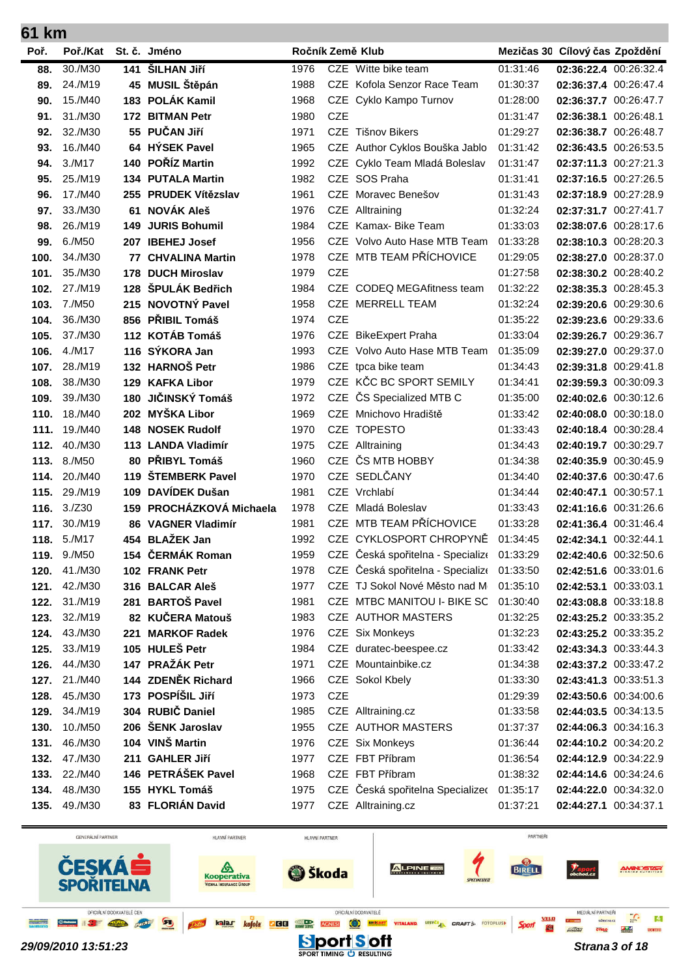| U I I<br>mш |          |     |                          |                  |            |                                            |          |                                |  |
|-------------|----------|-----|--------------------------|------------------|------------|--------------------------------------------|----------|--------------------------------|--|
| Poř.        | Poř./Kat |     | St. č. Jméno             | Ročník Země Klub |            |                                            |          | Mezičas 30 Cílový čas Zpoždění |  |
| 88.         | 30./M30  | 141 | ŠILHAN JIří              | 1976             |            | CZE Witte bike team                        | 01:31:46 | 02:36:22.4 00:26:32.4          |  |
| 89.         | 24./M19  |     | 45 MUSIL Štěpán          | 1988             |            | CZE Kofola Senzor Race Team                | 01:30:37 | 02:36:37.4 00:26:47.4          |  |
| 90.         | 15./M40  |     | 183 POLÁK Kamil          | 1968             | CZE        | Cyklo Kampo Turnov                         | 01:28:00 | 02:36:37.7 00:26:47.7          |  |
| 91.         | 31./M30  |     | 172 BITMAN Petr          | 1980             | <b>CZE</b> |                                            | 01:31:47 | 02:36:38.1 00:26:48.1          |  |
| 92.         | 32./M30  |     | 55 PUČAN Jiří            | 1971             |            | CZE Tišnov Bikers                          | 01:29:27 | 02:36:38.7 00:26:48.7          |  |
| 93.         | 16./M40  |     | 64 HÝSEK Pavel           | 1965             | <b>CZE</b> | Author Cyklos Bouška Jablo                 | 01:31:42 | 02:36:43.5 00:26:53.5          |  |
| 94.         | 3./M17   |     | 140 POŘÍZ Martin         | 1992             |            | CZE Cyklo Team Mladá Boleslav              | 01:31:47 | 02:37:11.3 00:27:21.3          |  |
| 95.         | 25./M19  |     | 134 PUTALA Martin        | 1982             |            | CZE SOS Praha                              | 01:31:41 | 02:37:16.5 00:27:26.5          |  |
| 96.         | 17./M40  |     | 255 PRUDEK Vítězslav     | 1961             | CZE.       | Moravec Benešov                            | 01:31:43 | 02:37:18.9 00:27:28.9          |  |
| 97.         | 33./M30  | 61  | <b>NOVÁK Aleš</b>        | 1976             | <b>CZE</b> | Alltraining                                | 01:32:24 | 02:37:31.7 00:27:41.7          |  |
| 98.         | 26./M19  | 149 | <b>JURIS Bohumil</b>     | 1984             |            | CZE Kamax- Bike Team                       | 01:33:03 | 02:38:07.6 00:28:17.6          |  |
| 99.         | 6./M50   |     | 207 IBEHEJ Josef         | 1956             |            | CZE Volvo Auto Hase MTB Team               | 01:33:28 | 02:38:10.3 00:28:20.3          |  |
| 100.        | 34./M30  | 77  | <b>CHVALINA Martin</b>   | 1978             |            | CZE MTB TEAM PŘÍCHOVICE                    | 01:29:05 | 02:38:27.0 00:28:37.0          |  |
| 101.        | 35./M30  |     | 178 DUCH Miroslav        | 1979             | <b>CZE</b> |                                            | 01:27:58 | 02:38:30.2 00:28:40.2          |  |
| 102.        | 27./M19  | 128 | ŠPULÁK Bedřich           | 1984             |            | CZE CODEQ MEGAfitness team                 | 01:32:22 | 02:38:35.3 00:28:45.3          |  |
| 103.        | 7./M50   |     | 215 NOVOTNÝ Pavel        | 1958             |            | CZE MERRELL TEAM                           | 01:32:24 | 02:39:20.6 00:29:30.6          |  |
| 104.        | 36./M30  |     | 856 PŘIBIL Tomáš         | 1974             | <b>CZE</b> |                                            | 01:35:22 | 02:39:23.6 00:29:33.6          |  |
| 105.        | 37./M30  |     | 112 KOTÁB Tomáš          | 1976             | <b>CZE</b> | <b>BikeExpert Praha</b>                    | 01:33:04 | 02:39:26.7 00:29:36.7          |  |
| 106.        | 4./M17   |     | 116 SÝKORA Jan           | 1993             |            | CZE Volvo Auto Hase MTB Team               | 01:35:09 | 02:39:27.0 00:29:37.0          |  |
| 107.        | 28./M19  |     | 132 HARNOŠ Petr          | 1986             | <b>CZE</b> | tpca bike team                             | 01:34:43 | 02:39:31.8 00:29:41.8          |  |
| 108.        | 38./M30  |     | 129 KAFKA Libor          | 1979             | <b>CZE</b> | KČC BC SPORT SEMILY                        | 01:34:41 | 02:39:59.3 00:30:09.3          |  |
| 109.        | 39./M30  | 180 | JIČINSKÝ Tomáš           | 1972             | <b>CZE</b> | ČS Specialized MTB C                       | 01:35:00 | 02:40:02.6 00:30:12.6          |  |
| 110.        | 18./M40  |     | 202 MYŠKA Libor          | 1969             | CZE        | Mnichovo Hradiště                          | 01:33:42 | 02:40:08.0 00:30:18.0          |  |
| 111.        | 19./M40  |     | <b>148 NOSEK Rudolf</b>  | 1970             | CZE.       | <b>TOPESTO</b>                             | 01:33:43 | 02:40:18.4 00:30:28.4          |  |
| 112.        | 40./M30  |     | 113 LANDA Vladimír       | 1975             |            | CZE Alltraining                            | 01:34:43 | 02:40:19.7 00:30:29.7          |  |
| 113.        | 8./M50   |     | 80 PŘIBYL Tomáš          | 1960             | <b>CZE</b> | ČS MTB HOBBY                               | 01:34:38 | 02:40:35.9 00:30:45.9          |  |
| 114.        | 20./M40  | 119 | <b>STEMBERK Pavel</b>    | 1970             |            | CZE SEDLČANY                               | 01:34:40 | 02:40:37.6 00:30:47.6          |  |
| 115.        | 29./M19  |     | 109 DAVÍDEK Dušan        | 1981             |            | CZE Vrchlabí                               | 01:34:44 | 02:40:47.1 00:30:57.1          |  |
| 116.        | 3./Z30   |     | 159 PROCHÁZKOVÁ Michaela | 1978             | <b>CZE</b> | Mladá Boleslav                             | 01:33:43 | 02:41:16.6 00:31:26.6          |  |
| 117.        | 30./M19  |     | 86 VAGNER Vladimír       | 1981             |            | CZE MTB TEAM PŘÍCHOVICE                    | 01:33:28 | 02:41:36.4 00:31:46.4          |  |
| 118.        | 5./M17   |     | 454 BLAŽEK Jan           | 1992             |            | CZE CYKLOSPORT CHROPYNĚ                    | 01:34:45 | 02:42:34.1 00:32:44.1          |  |
| 119.        | 9./M50   |     | 154 ČERMÁK Roman         | 1959             |            | CZE Česká spořitelna - Specializ (01:33:29 |          | 02:42:40.6 00:32:50.6          |  |
| 120.        | 41./M30  |     | 102 FRANK Petr           | 1978             |            | CZE Česká spořitelna - Specialize 01:33:50 |          | 02:42:51.6 00:33:01.6          |  |
| 121.        | 42./M30  |     | 316 BALCAR Aleš          | 1977             |            | CZE TJ Sokol Nové Město nad M              | 01:35:10 | 02:42:53.1 00:33:03.1          |  |
| 122.        | 31./M19  |     | 281 BARTOŠ Pavel         | 1981             |            | CZE MTBC MANITOU I- BIKE SC                | 01:30:40 | 02:43:08.8 00:33:18.8          |  |
| 123.        | 32./M19  |     | 82 KUČERA Matouš         | 1983             |            | CZE AUTHOR MASTERS                         | 01:32:25 | 02:43:25.2 00:33:35.2          |  |
| 124.        | 43./M30  | 221 | <b>MARKOF Radek</b>      | 1976             |            | CZE Six Monkeys                            | 01:32:23 | 02:43:25.2 00:33:35.2          |  |
| 125.        | 33./M19  |     | 105 HULEŠ Petr           | 1984             |            | CZE duratec-beespee.cz                     | 01:33:42 | 02:43:34.3 00:33:44.3          |  |
| 126.        | 44./M30  |     | 147 PRAŽÁK Petr          | 1971             |            | CZE Mountainbike.cz                        | 01:34:38 | 02:43:37.2 00:33:47.2          |  |
| 127.        | 21./M40  |     | 144 ZDENĚK Richard       | 1966             |            | CZE Sokol Kbely                            | 01:33:30 | 02:43:41.3 00:33:51.3          |  |
| 128.        | 45./M30  |     | 173 POSPÍŠIL Jiří        | 1973             | <b>CZE</b> |                                            | 01:29:39 | 02:43:50.6 00:34:00.6          |  |
| 129.        | 34./M19  |     | 304 RUBIČ Daniel         | 1985             |            | CZE Alltraining.cz                         | 01:33:58 | 02:44:03.5 00:34:13.5          |  |
| 130.        | 10./M50  |     | 206 ŠENK Jaroslav        | 1955             |            | CZE AUTHOR MASTERS                         | 01:37:37 | 02:44:06.3 00:34:16.3          |  |
| 131.        | 46./M30  |     | 104 VINŠ Martin          | 1976             |            | CZE Six Monkeys                            | 01:36:44 | 02:44:10.2 00:34:20.2          |  |
| 132.        | 47./M30  |     | 211 GAHLER Jiří          | 1977             |            | CZE FBT Příbram                            | 01:36:54 | 02:44:12.9 00:34:22.9          |  |
| 133.        | 22./M40  |     | 146 PETRÁŠEK Pavel       | 1968             |            | CZE FBT Příbram                            | 01:38:32 | 02:44:14.6 00:34:24.6          |  |
| 134.        | 48./M30  |     | 155 HYKL Tomáš           | 1975             |            | CZE Česká spořitelna Specializeo           | 01:35:17 | 02:44:22.0 00:34:32.0          |  |
| 135.        | 49./M30  |     | 83 FLORIÁN David         | 1977             |            | CZE Alltraining.cz                         | 01:37:21 | 02:44:27.1 00:34:37.1          |  |

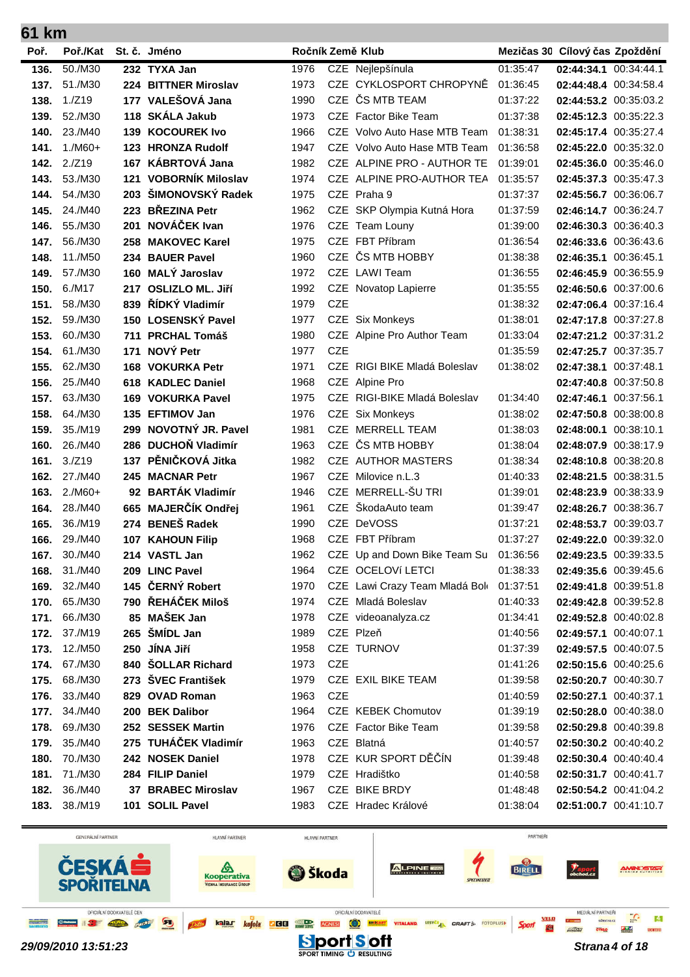| 61 km |                         |     |                                    |              |            |                                                     |                      |                                                |  |
|-------|-------------------------|-----|------------------------------------|--------------|------------|-----------------------------------------------------|----------------------|------------------------------------------------|--|
| Poř.  | Poř./Kat                |     | St. č. Jméno                       |              |            | Ročník Země Klub                                    |                      | Mezičas 30 Cílový čas Zpoždění                 |  |
| 136.  | 50./M30                 |     | 232 TYXA Jan                       | 1976         |            | CZE Nejlepšínula                                    | 01:35:47             | 02:44:34.1 00:34:44.1                          |  |
| 137.  | 51./M30                 |     | 224 BITTNER Miroslav               | 1973         |            | CZE CYKLOSPORT CHROPYNĚ                             | 01:36:45             | 02:44:48.4 00:34:58.4                          |  |
| 138.  | 1./Z19                  |     | 177 VALEŠOVÁ Jana                  | 1990         | CZE        | ČS MTB TEAM                                         | 01:37:22             | 02:44:53.2 00:35:03.2                          |  |
| 139.  | 52./M30                 |     | 118 SKÁLA Jakub                    | 1973         |            | CZE Factor Bike Team                                | 01:37:38             | 02:45:12.3 00:35:22.3                          |  |
| 140.  | 23./M40                 | 139 | <b>KOCOUREK Ivo</b>                | 1966         | CZE.       | Volvo Auto Hase MTB Team                            | 01:38:31             | 02:45:17.4 00:35:27.4                          |  |
| 141.  | $1./M60+$               |     | 123 HRONZA Rudolf                  | 1947         |            | CZE Volvo Auto Hase MTB Team                        | 01:36:58             | 02:45:22.0 00:35:32.0                          |  |
| 142.  | 2./Z19                  |     | 167 KÁBRTOVÁ Jana                  | 1982         |            | CZE ALPINE PRO - AUTHOR TE                          | 01:39:01             | 02:45:36.0 00:35:46.0                          |  |
| 143.  | 53./M30                 |     | 121 VOBORNÍK Miloslav              | 1974         |            | CZE ALPINE PRO-AUTHOR TEA                           | 01:35:57             | 02:45:37.3 00:35:47.3                          |  |
| 144.  | 54./M30                 |     | 203 ŠIMONOVSKÝ Radek               | 1975         |            | CZE Praha 9                                         | 01:37:37             | 02:45:56.7 00:36:06.7                          |  |
| 145.  | 24./M40                 |     | 223 BŘEZINA Petr                   | 1962         | <b>CZE</b> | SKP Olympia Kutná Hora                              | 01:37:59             | 02:46:14.7 00:36:24.7                          |  |
| 146.  | 55./M30                 | 201 | NOVÁČEK Ivan                       | 1976         | <b>CZE</b> | Team Louny                                          | 01:39:00             | 02:46:30.3 00:36:40.3                          |  |
| 147.  | 56./M30                 | 258 | <b>MAKOVEC Karel</b>               | 1975         | <b>CZE</b> | FBT Příbram                                         | 01:36:54             | 02:46:33.6 00:36:43.6                          |  |
| 148.  | 11./M50                 |     | 234 BAUER Pavel                    | 1960         | <b>CZE</b> | ČS MTB HOBBY                                        | 01:38:38             | 02:46:35.1 00:36:45.1                          |  |
| 149.  | 57./M30                 | 160 | <b>MALÝ Jaroslav</b>               | 1972         |            | CZE LAWI Team                                       | 01:36:55             | 02:46:45.9 00:36:55.9                          |  |
| 150.  | 6./M17                  | 217 | <b>OSLIZLO ML. Jiří</b>            | 1992         |            | CZE Novatop Lapierre                                | 01:35:55             | 02:46:50.6 00:37:00.6                          |  |
| 151.  | 58./M30                 |     | 839 ŘÍDKÝ Vladimír                 | 1979         | <b>CZE</b> |                                                     | 01:38:32             | 02:47:06.4 00:37:16.4                          |  |
| 152.  | 59./M30                 |     | 150 LOSENSKÝ Pavel                 | 1977         |            | CZE Six Monkeys                                     | 01:38:01             | 02:47:17.8 00:37:27.8                          |  |
| 153.  | 60./M30                 |     | 711 PRCHAL Tomáš                   | 1980         |            | CZE Alpine Pro Author Team                          | 01:33:04             | 02:47:21.2 00:37:31.2                          |  |
| 154.  | 61./M30                 | 171 | NOVÝ Petr                          | 1977         | <b>CZE</b> |                                                     | 01:35:59             | 02:47:25.7 00:37:35.7                          |  |
| 155.  | 62./M30                 | 168 | <b>VOKURKA Petr</b>                | 1971         |            | CZE RIGI BIKE Mladá Boleslav                        | 01:38:02             | 02:47:38.1 00:37:48.1                          |  |
| 156.  | 25./M40                 | 618 | <b>KADLEC Daniel</b>               | 1968         |            | CZE Alpine Pro                                      |                      | 02:47:40.8 00:37:50.8                          |  |
| 157.  | 63./M30                 |     | <b>169 VOKURKA Pavel</b>           | 1975         | CZE.       | RIGI-BIKE Mladá Boleslav                            | 01:34:40             | 02:47:46.1 00:37:56.1                          |  |
| 158.  | 64./M30                 |     | 135 EFTIMOV Jan                    | 1976         |            | CZE Six Monkeys                                     | 01:38:02             | 02:47:50.8 00:38:00.8                          |  |
| 159.  | 35./M19                 | 299 | NOVOTNÝ JR. Pavel                  | 1981         | <b>CZE</b> | <b>MERRELL TEAM</b>                                 | 01:38:03             | 02:48:00.1 00:38:10.1                          |  |
| 160.  | 26./M40                 |     | 286 DUCHOŇ Vladimír                | 1963         | <b>CZE</b> | ČS MTB HOBBY                                        | 01:38:04             | 02:48:07.9 00:38:17.9                          |  |
| 161.  | 3./Z19                  | 137 | PĚNIČKOVÁ Jitka                    | 1982         | <b>CZE</b> | <b>AUTHOR MASTERS</b>                               | 01:38:34             | 02:48:10.8 00:38:20.8                          |  |
| 162.  | 27./M40                 |     | 245 MACNAR Petr                    | 1967         |            | CZE Milovice n.L.3                                  | 01:40:33             | 02:48:21.5 00:38:31.5                          |  |
| 163.  | $2./M60+$               |     | 92 BARTÁK Vladimír                 | 1946         | <b>CZE</b> | MERRELL-ŠU TRI                                      | 01:39:01             | 02:48:23.9 00:38:33.9                          |  |
| 164.  | 28./M40                 |     | 665 MAJERČÍK Ondřej                | 1961         | <b>CZE</b> | ŠkodaAuto team                                      | 01:39:47             | 02:48:26.7 00:38:36.7                          |  |
| 165.  | 36./M19                 |     | 274 BENEŠ Radek                    | 1990         |            | CZE DeVOSS                                          | 01:37:21             | 02:48:53.7 00:39:03.7                          |  |
| 166.  | 29./M40                 |     | <b>107 KAHOUN Filip</b>            | 1968         |            | CZE FBT Příbram                                     | 01:37:27             | 02:49:22.0 00:39:32.0                          |  |
|       | 167. 30./M40            |     | 214 VASTL Jan                      |              |            | 1962 CZE Up and Down Bike Team Su 01:36:56          |                      | 02:49:23.5 00:39:33.5                          |  |
|       | <b>168.</b> 31./M40     |     | 209 LINC Pavel<br>145 ČERNÝ Robert | 1964         |            | CZE OCELOVÍ LETCI                                   | 01:38:33             | 02:49:35.6 00:39:45.6                          |  |
|       | 169. 32./M40            |     | 790 ŘEHÁČEK Miloš                  | 1970<br>1974 |            | CZE Lawi Crazy Team Mladá Bol<br>CZE Mladá Boleslav | 01:37:51             | 02:49:41.8 00:39:51.8                          |  |
| 170.  | 65./M30<br>171. 66./M30 |     | 85 MAŠEK Jan                       |              |            |                                                     | 01:40:33             | 02:49:42.8 00:39:52.8                          |  |
|       | 172. 37./M19            |     | 265 ŠMÍDL Jan                      | 1978<br>1989 |            | CZE videoanalyza.cz<br>CZE Plzeň                    | 01:34:41             | 02:49:52.8 00:40:02.8                          |  |
| 173.  | 12./M50                 |     | 250 JÍNA Jiří                      | 1958         |            | CZE TURNOV                                          | 01:40:56             | 02:49:57.1 00:40:07.1                          |  |
| 174.  | 67./M30                 |     | 840 ŠOLLAR Richard                 | 1973         | <b>CZE</b> |                                                     | 01:37:39<br>01:41:26 | 02:49:57.5 00:40:07.5                          |  |
| 175.  | 68./M30                 |     | 273 ŠVEC František                 | 1979         |            | CZE EXIL BIKE TEAM                                  | 01:39:58             | 02:50:15.6 00:40:25.6<br>02:50:20.7 00:40:30.7 |  |
|       | <b>176.</b> 33./M40     |     | 829 OVAD Roman                     | 1963         | <b>CZE</b> |                                                     | 01:40:59             | 02:50:27.1 00:40:37.1                          |  |
|       | <b>177.</b> 34./M40     |     | 200 BEK Dalibor                    | 1964         |            | CZE KEBEK Chomutov                                  | 01:39:19             | 02:50:28.0 00:40:38.0                          |  |
| 178.  | 69./M30                 |     | 252 SESSEK Martin                  | 1976         |            | CZE Factor Bike Team                                | 01:39:58             | 02:50:29.8 00:40:39.8                          |  |
|       | <b>179.</b> 35./M40     |     | 275 TUHÁČEK Vladimír               | 1963         |            | CZE Blatná                                          | 01:40:57             | 02:50:30.2 00:40:40.2                          |  |
|       | 180. 70./M30            |     | 242 NOSEK Daniel                   | 1978         |            | CZE KUR SPORT DĚČÍN                                 | 01:39:48             | 02:50:30.4 00:40:40.4                          |  |
|       | 181. 71./M30            |     | 284 FILIP Daniel                   | 1979         |            | CZE Hradištko                                       | 01:40:58             | 02:50:31.7 00:40:41.7                          |  |
| 182.  | 36./M40                 |     | 37 BRABEC Miroslav                 | 1967         |            | CZE BIKE BRDY                                       | 01:48:48             | 02:50:54.2 00:41:04.2                          |  |
|       | 183. 38./M19            |     | 101 SOLIL Pavel                    | 1983         |            | CZE Hradec Králové                                  | 01:38:04             | 02:51:00.7 00:41:10.7                          |  |
|       |                         |     |                                    |              |            |                                                     |                      |                                                |  |

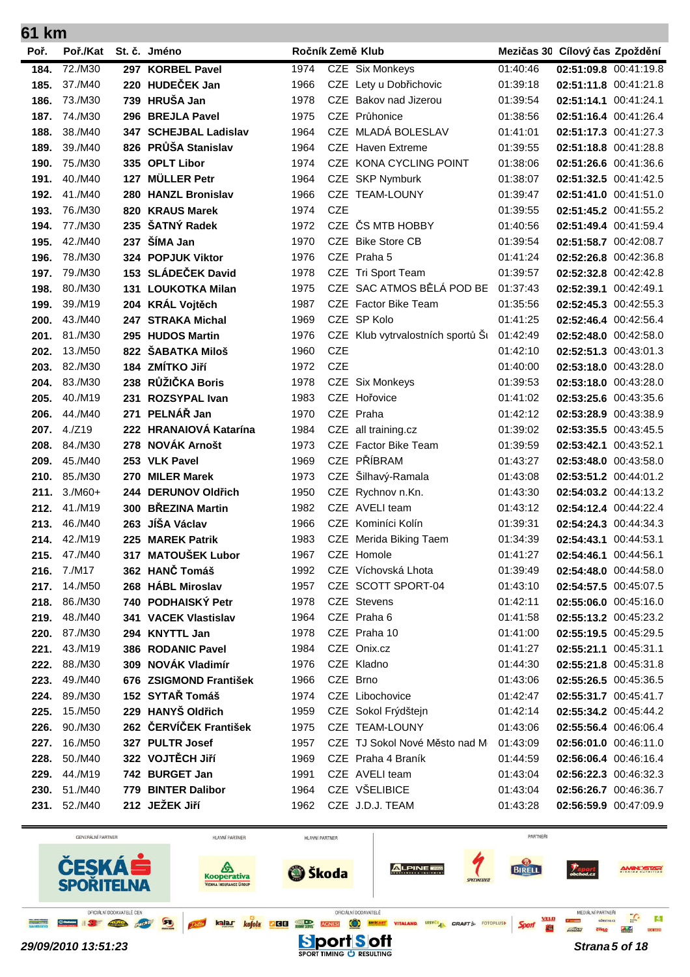| 61 km        |                      |     |                                              |              |            |                                   |                      |                                                |  |
|--------------|----------------------|-----|----------------------------------------------|--------------|------------|-----------------------------------|----------------------|------------------------------------------------|--|
| Poř.         | Poř./Kat             |     | St. č. Jméno                                 |              |            | Ročník Země Klub                  |                      | Mezičas 30 Cílový čas Zpoždění                 |  |
| 184.         | 72./M30              |     | 297 KORBEL Pavel                             | 1974         |            | CZE Six Monkeys                   | 01:40:46             | 02:51:09.8 00:41:19.8                          |  |
| 185.         | 37./M40              | 220 | <b>HUDEČEK Jan</b>                           | 1966         |            | CZE Lety u Dobřichovic            | 01:39:18             | 02:51:11.8 00:41:21.8                          |  |
| 186.         | 73./M30              |     | 739 HRUŠA Jan                                | 1978         |            | CZE Bakov nad Jizerou             | 01:39:54             | 02:51:14.1 00:41:24.1                          |  |
| 187.         | 74./M30              |     | 296 BREJLA Pavel                             | 1975         |            | CZE Průhonice                     | 01:38:56             | 02:51:16.4 00:41:26.4                          |  |
| 188.         | 38./M40              |     | 347 SCHEJBAL Ladislav                        | 1964         |            | CZE MLADÁ BOLESLAV                | 01:41:01             | 02:51:17.3 00:41:27.3                          |  |
| 189.         | 39./M40              | 826 | PRŮŠA Stanislav                              | 1964         |            | <b>CZE</b> Haven Extreme          | 01:39:55             | 02:51:18.8 00:41:28.8                          |  |
| 190.         | 75./M30              | 335 | <b>OPLT Libor</b>                            | 1974         | CZE.       | KONA CYCLING POINT                | 01:38:06             | 02:51:26.6 00:41:36.6                          |  |
| 191.         | 40./M40              | 127 | <b>MÜLLER Petr</b>                           | 1964         | <b>CZE</b> | <b>SKP Nymburk</b>                | 01:38:07             | 02:51:32.5 00:41:42.5                          |  |
| 192.         | 41./M40              | 280 | <b>HANZL Bronislav</b>                       | 1966         | CZE.       | <b>TEAM-LOUNY</b>                 | 01:39:47             | 02:51:41.0 00:41:51.0                          |  |
| 193.         | 76./M30              | 820 | <b>KRAUS Marek</b>                           | 1974         | <b>CZE</b> |                                   | 01:39:55             | 02:51:45.2 00:41:55.2                          |  |
| 194.         | 77./M30              | 235 | ŠATNÝ Radek                                  | 1972         | <b>CZE</b> | ČS MTB HOBBY                      | 01:40:56             | 02:51:49.4 00:41:59.4                          |  |
| 195.         | 42./M40              | 237 | ŠÍMA Jan                                     | 1970         | CZE        | <b>Bike Store CB</b>              | 01:39:54             | 02:51:58.7 00:42:08.7                          |  |
| 196.         | 78./M30              |     | 324 POPJUK Viktor                            | 1976         |            | CZE Praha 5                       | 01:41:24             | 02:52:26.8 00:42:36.8                          |  |
| 197.         | 79./M30              | 153 | <b>SLÁDEČEK David</b>                        | 1978         |            | CZE Tri Sport Team                | 01:39:57             | 02:52:32.8 00:42:42.8                          |  |
| 198.         | 80./M30              | 131 | <b>LOUKOTKA Milan</b>                        | 1975         | <b>CZE</b> | SAC ATMOS BĚLÁ POD BE             | 01:37:43             | 02:52:39.1 00:42:49.1                          |  |
| 199.         | 39./M19              |     | 204 KRÁL Vojtěch                             | 1987         | CZE        | Factor Bike Team                  | 01:35:56             | 02:52:45.3 00:42:55.3                          |  |
| 200.         | 43./M40              | 247 | <b>STRAKA Michal</b>                         | 1969         |            | CZE SP Kolo                       | 01:41:25             | 02:52:46.4 00:42:56.4                          |  |
| 201.         | 81./M30              |     | 295 HUDOS Martin                             | 1976         |            | CZE Klub vytrvalostních sportů Si | 01:42:49             | 02:52:48.0 00:42:58.0                          |  |
| 202.         | 13./M50              |     | 822 ŠABATKA Miloš                            | 1960         | <b>CZE</b> |                                   | 01:42:10             | 02:52:51.3 00:43:01.3                          |  |
| 203.         | 82./M30              |     | 184 ZMÍTKO Jiří                              | 1972         | <b>CZE</b> |                                   | 01:40:00             | 02:53:18.0 00:43:28.0                          |  |
| 204.         | 83./M30              | 238 | RŮŽIČKA Boris                                | 1978         |            | CZE Six Monkeys                   | 01:39:53             | 02:53:18.0 00:43:28.0                          |  |
| 205.         | 40./M19              | 231 | <b>ROZSYPAL Ivan</b>                         | 1983         | <b>CZE</b> | Hořovice                          | 01:41:02             | 02:53:25.6 00:43:35.6                          |  |
| 206.         | 44./M40              | 271 | PELNÁŘ Jan                                   | 1970         | <b>CZE</b> | Praha                             | 01:42:12             | 02:53:28.9 00:43:38.9                          |  |
| 207.         | 4./Z19               |     | 222 HRANAIOVÁ Katarína                       | 1984         | CZE        | all training.cz                   | 01:39:02             | 02:53:35.5 00:43:45.5                          |  |
| 208.         | 84./M30              |     | 278 NOVÁK Arnošt                             | 1973         |            | CZE Factor Bike Team              | 01:39:59             | 02:53:42.1 00:43:52.1                          |  |
| 209.         | 45./M40              |     | 253 VLK Pavel                                | 1969         | CZE        | PŘÍBRAM                           | 01:43:27             | 02:53:48.0 00:43:58.0                          |  |
| 210.         | 85./M30              | 270 | <b>MILER Marek</b>                           | 1973         | <b>CZE</b> | Šilhavý-Ramala                    | 01:43:08             | 02:53:51.2 00:44:01.2                          |  |
| 211.<br>212. | $3./M60+$<br>41./M19 | 300 | 244 DERUNOV Oldřich<br><b>BŘEZINA Martin</b> | 1950<br>1982 | <b>CZE</b> | Rychnov n.Kn.<br>CZE AVELI team   | 01:43:30<br>01:43:12 | 02:54:03.2 00:44:13.2<br>02:54:12.4 00:44:22.4 |  |
| 213.         | 46./M40              | 263 | JÍŠA Václav                                  | 1966         | <b>CZE</b> | Kominíci Kolín                    | 01:39:31             | 02:54:24.3 00:44:34.3                          |  |
| 214.         | 42./M19              |     | 225 MAREK Patrik                             | 1983         |            | CZE Merida Biking Taem            | 01:34:39             | 02:54:43.1 00:44:53.1                          |  |
|              | 215. 47./M40         |     | 317 MATOUŠEK Lubor                           | 1967         |            | CZE Homole                        | 01:41:27             | 02:54:46.1 00:44:56.1                          |  |
|              | 216. 7./M17          |     | 362 HANČ Tomáš                               | 1992         |            | CZE Víchovská Lhota               | 01:39:49             | 02:54:48.0 00:44:58.0                          |  |
|              | 217. 14./M50         |     | 268 HÁBL Miroslav                            | 1957         |            | CZE SCOTT SPORT-04                | 01:43:10             | 02:54:57.5 00:45:07.5                          |  |
|              | 218. 86./M30         |     | 740 PODHAISKÝ Petr                           | 1978         |            | CZE Stevens                       | 01:42:11             | 02:55:06.0 00:45:16.0                          |  |
| 219.         | 48./M40              |     | 341 VACEK Vlastislav                         | 1964         |            | CZE Praha 6                       | 01:41:58             | 02:55:13.2 00:45:23.2                          |  |
| 220.         | 87./M30              |     | 294 KNYTTL Jan                               | 1978         |            | CZE Praha 10                      | 01:41:00             | 02:55:19.5 00:45:29.5                          |  |
|              | 221. 43./M19         |     | 386 RODANIC Pavel                            | 1984         |            | CZE Onix.cz                       | 01:41:27             | 02:55:21.1 00:45:31.1                          |  |
|              | 222. 88./M30         |     | 309 NOVÁK Vladimír                           | 1976         |            | CZE Kladno                        | 01:44:30             | 02:55:21.8 00:45:31.8                          |  |
| 223.         | 49./M40              |     | 676 ZSIGMOND František                       | 1966         |            | CZE Brno                          | 01:43:06             | 02:55:26.5 00:45:36.5                          |  |
| 224.         | 89./M30              |     | 152 SYTAŘ Tomáš                              | 1974         |            | CZE Libochovice                   | 01:42:47             | 02:55:31.7 00:45:41.7                          |  |
| 225.         | 15./M50              |     | 229 HANYŠ Oldřich                            | 1959         |            | CZE Sokol Frýdštejn               | 01:42:14             | 02:55:34.2 00:45:44.2                          |  |
| 226.         | 90./M30              |     | 262 ČERVÍČEK František                       | 1975         |            | CZE TEAM-LOUNY                    | 01:43:06             | 02:55:56.4 00:46:06.4                          |  |
| 227.         | 16./M50              |     | 327 PULTR Josef                              | 1957         |            | CZE TJ Sokol Nové Město nad M     | 01:43:09             | 02:56:01.0 00:46:11.0                          |  |
| 228.         | 50./M40              |     | 322 VOJTĚCH JIří                             | 1969         |            | CZE Praha 4 Braník                | 01:44:59             | 02:56:06.4 00:46:16.4                          |  |
|              | 229. 44./M19         |     | 742 BURGET Jan                               | 1991         |            | CZE AVELI team                    | 01:43:04             | 02:56:22.3 00:46:32.3                          |  |
|              | 230. 51./M40         |     | 779 BINTER Dalibor                           | 1964         |            | CZE VŠELIBICE                     | 01:43:04             | 02:56:26.7 00:46:36.7                          |  |
|              | 231. 52./M40         |     | 212 JEŽEK Jiří                               | 1962         |            | CZE J.D.J. TEAM                   | 01:43:28             | 02:56:59.9 00:47:09.9                          |  |
|              |                      |     |                                              |              |            |                                   |                      |                                                |  |

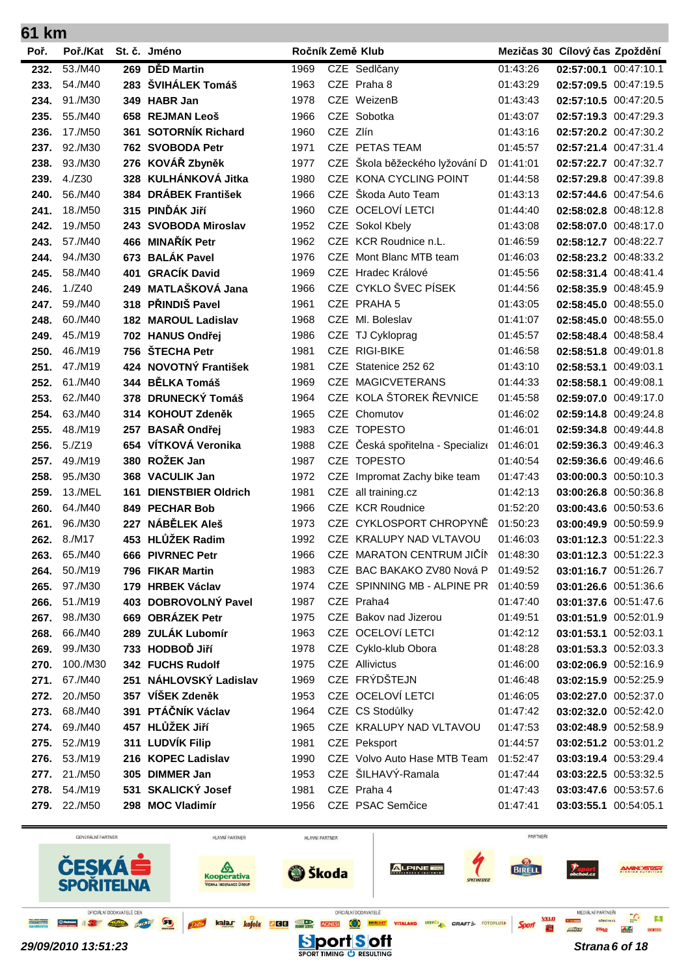| Poř. | Poř./Kat            |     | St. č. Jméno               | Ročník Země Klub |            |                                      | Mezičas 30 Cílový čas Zpoždění |                       |  |
|------|---------------------|-----|----------------------------|------------------|------------|--------------------------------------|--------------------------------|-----------------------|--|
| 232. | 53./M40             |     | 269 DĚD Martin             | 1969             |            | CZE Sedlčany                         | 01:43:26                       | 02:57:00.1 00:47:10.1 |  |
| 233. | 54./M40             |     | 283 ŠVIHÁLEK Tomáš         | 1963             |            | CZE Praha 8                          | 01:43:29                       | 02:57:09.5 00:47:19.5 |  |
| 234. | 91./M30             |     | 349 HABR Jan               | 1978             |            | CZE WeizenB                          | 01:43:43                       | 02:57:10.5 00:47:20.5 |  |
| 235. | 55./M40             |     | 658 REJMAN Leoš            | 1966             |            | CZE Sobotka                          | 01:43:07                       | 02:57:19.3 00:47:29.3 |  |
| 236. | 17./M50             | 361 | <b>SOTORNÍK Richard</b>    | 1960             | CZE Zlín   |                                      | 01:43:16                       | 02:57:20.2 00:47:30.2 |  |
| 237. | 92./M30             |     | 762 SVOBODA Petr           | 1971             |            | CZE PETAS TEAM                       | 01:45:57                       | 02:57:21.4 00:47:31.4 |  |
| 238. | 93./M30             |     | 276 KOVÁŘ Zbyněk           | 1977             |            | CZE Škola běžeckého lyžování D       | 01:41:01                       | 02:57:22.7 00:47:32.7 |  |
| 239. | 4./Z30              |     | 328 KULHÁNKOVÁ Jitka       | 1980             |            | CZE KONA CYCLING POINT               | 01:44:58                       | 02:57:29.8 00:47:39.8 |  |
| 240. | 56./M40             |     | 384 DRÁBEK František       | 1966             | <b>CZE</b> | Škoda Auto Team                      | 01:43:13                       | 02:57:44.6 00:47:54.6 |  |
| 241. | 18./M50             |     | 315 PINĎÁK Jiří            | 1960             |            | CZE OCELOVÍ LETCI                    | 01:44:40                       | 02:58:02.8 00:48:12.8 |  |
| 242. | 19./M50             |     | 243 SVOBODA Miroslav       | 1952             |            | CZE Sokol Kbely                      | 01:43:08                       | 02:58:07.0 00:48:17.0 |  |
| 243. | 57./M40             |     | 466 MINAŘÍK Petr           | 1962             |            | CZE KCR Roudnice n.L.                | 01:46:59                       | 02:58:12.7 00:48:22.7 |  |
| 244. | 94./M30             |     | 673 BALÁK Pavel            | 1976             | CZE        | Mont Blanc MTB team                  | 01:46:03                       | 02:58:23.2 00:48:33.2 |  |
| 245. | 58./M40             | 401 | <b>GRACÍK David</b>        | 1969             |            | CZE Hradec Králové                   | 01:45:56                       | 02:58:31.4 00:48:41.4 |  |
| 246. | 1./Z40              |     | 249 MATLAŠKOVÁ Jana        | 1966             |            | CZE CYKLO ŠVEC PÍSEK                 | 01:44:56                       | 02:58:35.9 00:48:45.9 |  |
| 247. | 59./M40             | 318 | PŘINDIŠ Pavel              | 1961             |            | CZE PRAHA 5                          | 01:43:05                       | 02:58:45.0 00:48:55.0 |  |
| 248. | 60./M40             |     | <b>182 MAROUL Ladislav</b> | 1968             | <b>CZE</b> | Ml. Boleslav                         | 01:41:07                       | 02:58:45.0 00:48:55.0 |  |
| 249. | 45./M19             |     | 702 HANUS Ondřej           | 1986             | <b>CZE</b> | TJ Cykloprag                         | 01:45:57                       | 02:58:48.4 00:48:58.4 |  |
| 250. | 46./M19             |     | 756 ŠTECHA Petr            | 1981             |            | CZE RIGI-BIKE                        | 01:46:58                       | 02:58:51.8 00:49:01.8 |  |
| 251. | 47./M19             |     | 424 NOVOTNÝ František      | 1981             |            | CZE Statenice 252 62                 | 01:43:10                       | 02:58:53.1 00:49:03.1 |  |
| 252. | 61./M40             |     | 344 BĚLKA Tomáš            | 1969             |            | CZE MAGICVETERANS                    | 01:44:33                       | 02:58:58.1 00:49:08.1 |  |
| 253. | 62./M40             |     | 378 DRUNECKÝ Tomáš         | 1964             |            | CZE KOLA ŠTOREK ŘEVNICE              | 01:45:58                       | 02:59:07.0 00:49:17.0 |  |
| 254. | 63./M40             |     | 314 KOHOUT Zdeněk          | 1965             | CZE        | Chomutov                             | 01:46:02                       | 02:59:14.8 00:49:24.8 |  |
| 255. | 48./M19             | 257 | <b>BASAŘ Ondřej</b>        | 1983             |            | CZE TOPESTO                          | 01:46:01                       | 02:59:34.8 00:49:44.8 |  |
| 256. | 5./Z19              |     | 654 VÍTKOVÁ Veronika       | 1988             | CZE        | Česká spořitelna - Specialize        | 01:46:01                       | 02:59:36.3 00:49:46.3 |  |
| 257. | 49./M19             |     | 380 ROŽEK Jan              | 1987             | <b>CZE</b> | <b>TOPESTO</b>                       | 01:40:54                       | 02:59:36.6 00:49:46.6 |  |
| 258. | 95./M30             |     | 368 VACULIK Jan            | 1972             | CZE        | Impromat Zachy bike team             | 01:47:43                       | 03:00:00.3 00:50:10.3 |  |
| 259. | 13./MEL             | 161 | <b>DIENSTBIER Oldrich</b>  | 1981             |            | CZE all training.cz                  | 01:42:13                       | 03:00:26.8 00:50:36.8 |  |
| 260. | 64./M40             |     | 849 PECHAR Bob             | 1966             | <b>CZE</b> | <b>KCR Roudnice</b>                  | 01:52:20                       | 03:00:43.6 00:50:53.6 |  |
| 261. | 96./M30             | 227 | NÁBĚLEK Aleš               | 1973             |            | CZE CYKLOSPORT CHROPYNĚ              | 01:50:23                       | 03:00:49.9 00:50:59.9 |  |
| 262. | 8./M17              |     | 453 HLŮŽEK Radim           | 1992             |            | CZE KRALUPY NAD VLTAVOU              | 01:46:03                       | 03:01:12.3 00:51:22.3 |  |
| 263. | 65./M40             |     | 666 PIVRNEC Petr           | 1966             |            | CZE MARATON CENTRUM JIČÍN            | 01:48:30                       | 03:01:12.3 00:51:22.3 |  |
|      | <b>264.</b> 50./M19 |     | 796 FIKAR Martin           | 1983             |            | CZE BAC BAKAKO ZV80 Nová P           | 01:49:52                       | 03:01:16.7 00:51:26.7 |  |
| 265. | 97./M30             |     | 179 HRBEK Václav           | 1974             |            | CZE SPINNING MB - ALPINE PR 01:40:59 |                                | 03:01:26.6 00:51:36.6 |  |
| 266. | 51./M19             |     | 403 DOBROVOLNÝ Pavel       | 1987             |            | CZE Praha4                           | 01:47:40                       | 03:01:37.6 00:51:47.6 |  |
| 267. | 98./M30             |     | 669 OBRÁZEK Petr           | 1975             |            | CZE Bakov nad Jizerou                | 01:49:51                       | 03:01:51.9 00:52:01.9 |  |
| 268. | 66./M40             |     | 289 ZULÁK Lubomír          | 1963             |            | CZE OCELOVÍ LETCI                    | 01:42:12                       | 03:01:53.1 00:52:03.1 |  |
| 269. | 99./M30             |     | 733 HODBOĎ Jiří            | 1978             |            | CZE Cyklo-klub Obora                 | 01:48:28                       | 03:01:53.3 00:52:03.3 |  |
| 270. | 100./M30            |     | 342 FUCHS Rudolf           | 1975             |            | CZE Allivictus                       | 01:46:00                       | 03:02:06.9 00:52:16.9 |  |
| 271. | 67./M40             |     | 251 NÁHLOVSKÝ Ladislav     | 1969             |            | CZE FRÝDŠTEJN                        | 01:46:48                       | 03:02:15.9 00:52:25.9 |  |
| 272. | 20./M50             |     | 357 VÍŠEK Zdeněk           | 1953             |            | CZE OCELOVÍ LETCI                    | 01:46:05                       | 03:02:27.0 00:52:37.0 |  |
| 273. | 68./M40             |     | 391 PTÁČNÍK Václav         | 1964             |            | CZE CS Stodůlky                      | 01:47:42                       | 03:02:32.0 00:52:42.0 |  |
| 274. | 69./M40             |     | 457 HLŮŽEK Jiří            | 1965             |            | CZE KRALUPY NAD VLTAVOU              | 01:47:53                       | 03:02:48.9 00:52:58.9 |  |
| 275. | 52./M19             |     | 311 LUDVÍK Filip           | 1981             |            | CZE Peksport                         | 01:44:57                       | 03:02:51.2 00:53:01.2 |  |
| 276. | 53./M19             |     | 216 KOPEC Ladislav         | 1990             |            | CZE Volvo Auto Hase MTB Team         | 01:52:47                       | 03:03:19.4 00:53:29.4 |  |
|      | 277. 21./M50        |     | 305 DIMMER Jan             | 1953             |            | CZE ŠILHAVÝ-Ramala                   | 01:47:44                       | 03:03:22.5 00:53:32.5 |  |
|      | 278. 54./M19        |     | 531 SKALICKÝ Josef         | 1981             |            | CZE Praha 4                          | 01:47:43                       | 03:03:47.6 00:53:57.6 |  |
|      | <b>279.</b> 22./M50 |     | 298 MOC Vladimír           | 1956             |            | CZE PSAC Semčice                     | 01:47:41                       | 03:03:55.1 00:54:05.1 |  |
|      |                     |     |                            |                  |            |                                      |                                |                       |  |

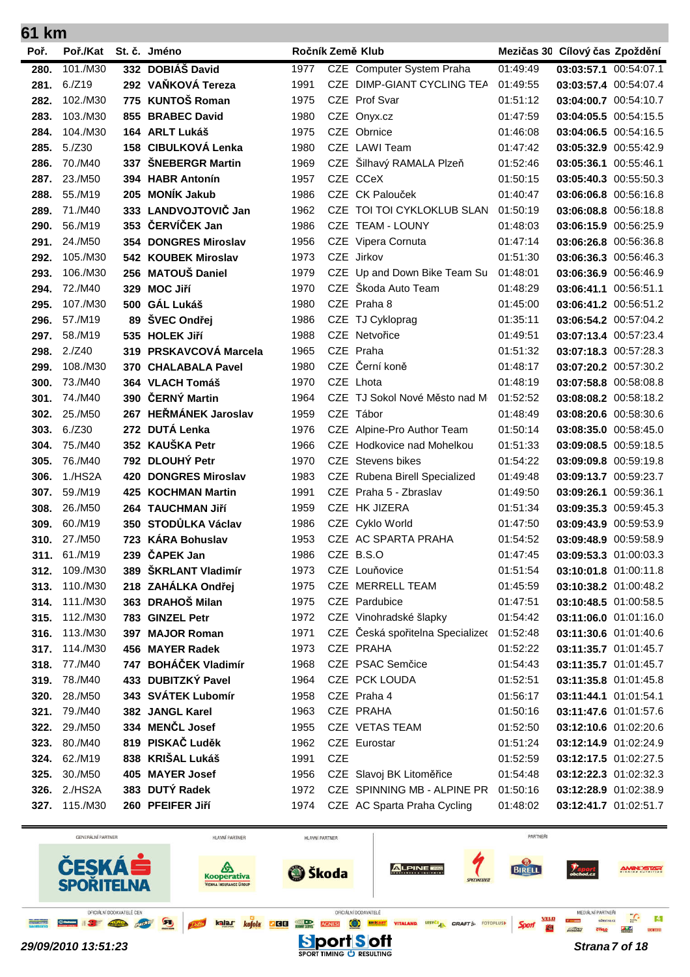| 61 km        |                    |     |                                    |              |            |                                  |                      |                                                |  |
|--------------|--------------------|-----|------------------------------------|--------------|------------|----------------------------------|----------------------|------------------------------------------------|--|
| Poř.         | Poř./Kat           |     | St. č. Jméno                       |              |            | Ročník Země Klub                 |                      | Mezičas 30 Cílový čas Zpoždění                 |  |
| 280.         | 101./M30           |     | 332 DOBIÁŠ David                   | 1977         |            | CZE Computer System Praha        | 01:49:49             | 03:03:57.1 00:54:07.1                          |  |
| 281.         | 6./Z19             |     | 292 VAŇKOVÁ Tereza                 | 1991         | CZE.       | <b>DIMP-GIANT CYCLING TEA</b>    | 01:49:55             | 03:03:57.4 00:54:07.4                          |  |
| 282.         | 102./M30           |     | 775 KUNTOŠ Roman                   | 1975         | <b>CZE</b> | Prof Svar                        | 01:51:12             | 03:04:00.7 00:54:10.7                          |  |
| 283.         | 103./M30           |     | 855 BRABEC David                   | 1980         | <b>CZE</b> | Onyx.cz                          | 01:47:59             | 03:04:05.5 00:54:15.5                          |  |
| 284.         | 104./M30           |     | 164 ARLT Lukáš                     | 1975         |            | CZE Obrnice                      | 01:46:08             | 03:04:06.5 00:54:16.5                          |  |
| 285.         | 5./Z30             |     | 158 CIBULKOVÁ Lenka                | 1980         |            | CZE LAWI Team                    | 01:47:42             | 03:05:32.9 00:55:42.9                          |  |
| 286.         | 70./M40            | 337 | ŠNEBERGR Martin                    | 1969         | <b>CZE</b> | Šilhavý RAMALA Plzeň             | 01:52:46             | 03:05:36.1 00:55:46.1                          |  |
| 287.         | 23./M50            |     | 394 HABR Antonín                   | 1957         |            | CZE CCeX                         | 01:50:15             | 03:05:40.3 00:55:50.3                          |  |
| 288.         | 55./M19            |     | 205 MONÍK Jakub                    | 1986         |            | CZE CK Palouček                  | 01:40:47             | 03:06:06.8 00:56:16.8                          |  |
| 289.         | 71./M40            |     | 333 LANDVOJTOVIČ Jan               | 1962         |            | CZE TOI TOI CYKLOKLUB SLAN       | 01:50:19             | 03:06:08.8 00:56:18.8                          |  |
| 290.         | 56./M19            |     | 353 ČERVÍČEK Jan                   | 1986         | <b>CZE</b> | <b>TEAM - LOUNY</b>              | 01:48:03             | 03:06:15.9 00:56:25.9                          |  |
| 291.         | 24./M50            |     | 354 DONGRES Miroslav               | 1956         |            | CZE Vipera Cornuta               | 01:47:14             | 03:06:26.8 00:56:36.8                          |  |
| 292.         | 105./M30           |     | 542 KOUBEK Miroslav                | 1973         |            | CZE Jirkov                       | 01:51:30             | 03:06:36.3 00:56:46.3                          |  |
| 293.         | 106./M30           |     | 256 MATOUŠ Daniel                  | 1979         |            | CZE Up and Down Bike Team Su     | 01:48:01             | 03:06:36.9 00:56:46.9                          |  |
| 294.         | 72./M40            |     | 329 MOC Jiří                       | 1970         | <b>CZE</b> | Škoda Auto Team                  | 01:48:29             | 03:06:41.1 00:56:51.1                          |  |
| 295.         | 107./M30           |     | 500 GÁL Lukáš                      | 1980         |            | CZE Praha 8                      | 01:45:00             | 03:06:41.2 00:56:51.2                          |  |
| 296.         | 57./M19            |     | 89 ŠVEC Ondřej                     | 1986         |            | CZE TJ Cykloprag                 | 01:35:11             | 03:06:54.2 00:57:04.2                          |  |
| 297.         | 58./M19            |     | 535 HOLEK Jiří                     | 1988         |            | CZE Netvořice                    | 01:49:51             | 03:07:13.4 00:57:23.4                          |  |
| 298.         | 2./Z40             |     | 319 PRSKAVCOVÁ Marcela             | 1965         |            | CZE Praha                        | 01:51:32             | 03:07:18.3 00:57:28.3                          |  |
| 299.         | 108./M30           |     | 370 CHALABALA Pavel                | 1980         |            | CZE Černí koně                   | 01:48:17             | 03:07:20.2 00:57:30.2                          |  |
| 300.         | 73./M40            |     | 364 VLACH Tomáš                    | 1970         |            | CZE Lhota                        | 01:48:19             | 03:07:58.8 00:58:08.8                          |  |
| 301.         | 74./M40            | 390 | ČERNÝ Martin                       | 1964         |            | CZE TJ Sokol Nové Město nad M    | 01:52:52             | 03:08:08.2 00:58:18.2                          |  |
| 302.         | 25./M50            | 267 | <b>HEŘMÁNEK Jaroslav</b>           | 1959         |            | CZE Tábor                        | 01:48:49             | 03:08:20.6 00:58:30.6                          |  |
| 303.         | 6./Z30             | 272 | <b>DUTÁ Lenka</b>                  | 1976         | CZE        | Alpine-Pro Author Team           | 01:50:14             | 03:08:35.0 00:58:45.0                          |  |
| 304.         | 75./M40            |     | 352 KAUŠKA Petr                    | 1966         | CZE.       | Hodkovice nad Mohelkou           | 01:51:33             | 03:09:08.5 00:59:18.5                          |  |
| 305.         | 76./M40            |     | 792 DLOUHÝ Petr                    | 1970         | <b>CZE</b> | Stevens bikes                    | 01:54:22             | 03:09:09.8 00:59:19.8                          |  |
| 306.         | 1./HS2A            | 420 | <b>DONGRES Miroslav</b>            | 1983         | <b>CZE</b> | Rubena Birell Specialized        | 01:49:48             | 03:09:13.7 00:59:23.7                          |  |
| 307.         | 59./M19            | 425 | <b>KOCHMAN Martin</b>              | 1991         |            | CZE Praha 5 - Zbraslav           | 01:49:50             | 03:09:26.1 00:59:36.1                          |  |
| 308.         | 26./M50            |     | 264 TAUCHMAN Jiří                  | 1959         |            | CZE HK JIZERA                    | 01:51:34             | 03:09:35.3 00:59:45.3                          |  |
| 309.         | 60./M19            |     | 350 STODŮLKA Václav                | 1986         |            | CZE Cyklo World                  | 01:47:50             | 03:09:43.9 00:59:53.9                          |  |
| 310.         | 27./M50            |     | 723 KÁRA Bohuslav                  | 1953         |            | CZE AC SPARTA PRAHA              | 01:54:52             | 03:09:48.9 00:59:58.9                          |  |
|              | 311. 61./M19       |     | 239 ČAPEK Jan                      | 1986         |            | CZE B.S.O                        | 01:47:45             | 03:09:53.3 01:00:03.3                          |  |
| 312.         | 109./M30           |     | 389 ŠKRLANT Vladimír               | 1973         |            | CZE Louňovice                    | 01:51:54             | 03:10:01.8 01:00:11.8                          |  |
| 313.         | 110./M30           |     | 218 ZAHÁLKA Ondřej                 | 1975         |            | CZE MERRELL TEAM                 | 01:45:59             | 03:10:38.2 01:00:48.2                          |  |
| 314.         | 111./M30           |     | 363 DRAHOŠ Milan                   | 1975         |            | CZE Pardubice                    | 01:47:51             | 03:10:48.5 01:00:58.5                          |  |
| 315.         | 112./M30           |     | 783 GINZEL Petr                    | 1972         |            | CZE Vinohradské šlapky           | 01:54:42             | 03:11:06.0 01:01:16.0                          |  |
| 316.         | 113./M30           |     | 397 MAJOR Roman                    | 1971         |            | CZE Česká spořitelna Specializeo | 01:52:48             | 03:11:30.6 01:01:40.6                          |  |
| 317.         | 114./M30           |     | 456 MAYER Radek                    | 1973         |            | CZE PRAHA                        | 01:52:22             | 03:11:35.7 01:01:45.7                          |  |
| 318.         | 77./M40            |     | 747 BOHÁČEK Vladimír               | 1968         |            | CZE PSAC Semčice                 | 01:54:43             | 03:11:35.7 01:01:45.7                          |  |
| 319.         | 78./M40            |     | 433 DUBITZKÝ Pavel                 | 1964         |            | CZE PCK LOUDA                    | 01:52:51             | 03:11:35.8 01:01:45.8                          |  |
| 320.         | 28./M50            |     | 343 SVÁTEK Lubomír                 | 1958         |            | CZE Praha 4                      | 01:56:17             | 03:11:44.1 01:01:54.1                          |  |
| 321.         | 79./M40            |     | 382 JANGL Karel<br>334 MENČL Josef | 1963         |            | CZE PRAHA                        | 01:50:16             | 03:11:47.6 01:01:57.6                          |  |
| 322.<br>323. | 29./M50<br>80./M40 |     | 819 PISKAČ Luděk                   | 1955<br>1962 |            | CZE VETAS TEAM<br>CZE Eurostar   | 01:52:50<br>01:51:24 | 03:12:10.6 01:02:20.6                          |  |
|              | 62./M19            |     | 838 KRIŠAL Lukáš                   | 1991         | <b>CZE</b> |                                  | 01:52:59             | 03:12:14.9 01:02:24.9<br>03:12:17.5 01:02:27.5 |  |
| 324.<br>325. | 30./M50            |     | 405 MAYER Josef                    | 1956         |            | CZE Slavoj BK Litoměřice         | 01:54:48             | 03:12:22.3 01:02:32.3                          |  |
| 326.         | 2./HS2A            |     | 383 DUTÝ Radek                     | 1972         |            | CZE SPINNING MB - ALPINE PR      | 01:50:16             | 03:12:28.9 01:02:38.9                          |  |
| 327.         | 115./M30           |     | 260 PFEIFER Jiří                   | 1974         |            | CZE AC Sparta Praha Cycling      | 01:48:02             | 03:12:41.7 01:02:51.7                          |  |
|              |                    |     |                                    |              |            |                                  |                      |                                                |  |

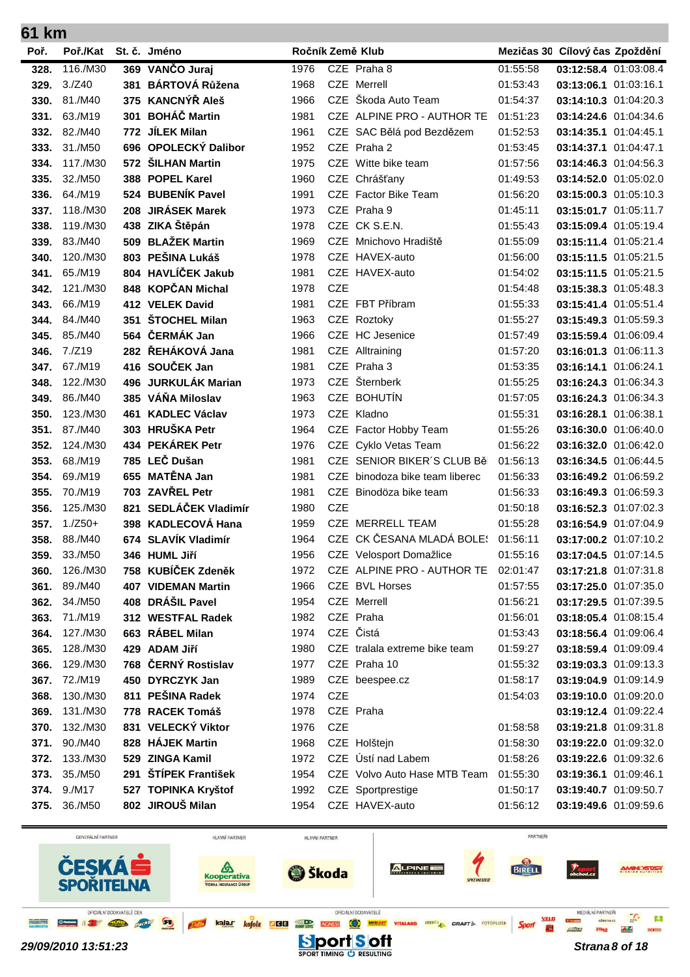| 61 km        |                     |     |                                     |              |            |                                                       |                      |                                                |  |
|--------------|---------------------|-----|-------------------------------------|--------------|------------|-------------------------------------------------------|----------------------|------------------------------------------------|--|
| Poř.         | Poř./Kat            |     | St. č. Jméno                        |              |            | Ročník Země Klub                                      |                      | Mezičas 30 Cílový čas Zpoždění                 |  |
| 328.         | 116./M30            |     | 369 VANČO Juraj                     | 1976         |            | CZE Praha 8                                           | 01:55:58             | 03:12:58.4 01:03:08.4                          |  |
| 329.         | 3./Z40              | 381 | <b>BÁRTOVÁ Růžena</b>               | 1968         |            | CZE Merrell                                           | 01:53:43             | 03:13:06.1 01:03:16.1                          |  |
| 330.         | 81./M40             |     | 375 KANCNÝŘ Aleš                    | 1966         | <b>CZE</b> | Škoda Auto Team                                       | 01:54:37             | 03:14:10.3 01:04:20.3                          |  |
| 331.         | 63./M19             | 301 | <b>BOHÁČ Martin</b>                 | 1981         |            | CZE ALPINE PRO - AUTHOR TE                            | 01:51:23             | 03:14:24.6 01:04:34.6                          |  |
| 332.         | 82./M40             |     | 772 JÍLEK Milan                     | 1961         |            | CZE SAC Bělá pod Bezdězem                             | 01:52:53             | 03:14:35.1 01:04:45.1                          |  |
| 333.         | 31./M50             | 696 | OPOLECKÝ Dalibor                    | 1952         |            | CZE Praha 2                                           | 01:53:45             | 03:14:37.1 01:04:47.1                          |  |
| 334.         | 117./M30            | 572 | <b>ŠILHAN Martin</b>                | 1975         |            | CZE Witte bike team                                   | 01:57:56             | 03:14:46.3 01:04:56.3                          |  |
| 335.         | 32./M50             | 388 | <b>POPEL Karel</b>                  | 1960         |            | CZE Chrášťany                                         | 01:49:53             | 03:14:52.0 01:05:02.0                          |  |
| 336.         | 64./M19             | 524 | <b>BUBENÍK Pavel</b>                | 1991         |            | CZE Factor Bike Team                                  | 01:56:20             | 03:15:00.3 01:05:10.3                          |  |
| 337.         | 118./M30            | 208 | <b>JIRÁSEK Marek</b>                | 1973         |            | CZE Praha 9                                           | 01:45:11             | 03:15:01.7 01:05:11.7                          |  |
| 338.         | 119./M30            |     | 438 ZIKA Štěpán                     | 1978         |            | CZE CK S.E.N.                                         | 01:55:43             | 03:15:09.4 01:05:19.4                          |  |
| 339.         | 83./M40             | 509 | <b>BLAŽEK Martin</b>                | 1969         |            | CZE Mnichovo Hradiště                                 | 01:55:09             | 03:15:11.4 01:05:21.4                          |  |
| 340.         | 120./M30            |     | 803 PEŠINA Lukáš                    | 1978         |            | CZE HAVEX-auto                                        | 01:56:00             | 03:15:11.5 01:05:21.5                          |  |
| 341.         | 65./M19             |     | 804 HAVLÍČEK Jakub                  | 1981         |            | CZE HAVEX-auto                                        | 01:54:02             | 03:15:11.5 01:05:21.5                          |  |
| 342.         | 121./M30            |     | 848 KOPČAN Michal                   | 1978         | <b>CZE</b> |                                                       | 01:54:48             | 03:15:38.3 01:05:48.3                          |  |
| 343.         | 66./M19             |     | 412 VELEK David                     | 1981         |            | CZE FBT Příbram                                       | 01:55:33             | 03:15:41.4 01:05:51.4                          |  |
| 344.         | 84./M40             | 351 | <b>ŠTOCHEL Milan</b>                | 1963         |            | CZE Roztoky                                           | 01:55:27             | 03:15:49.3 01:05:59.3                          |  |
| 345.         | 85./M40             |     | 564 ČERMÁK Jan                      | 1966         | <b>CZE</b> | <b>HC</b> Jesenice                                    | 01:57:49             | 03:15:59.4 01:06:09.4                          |  |
| 346.         | 7./Z19              |     | 282 ŘEHÁKOVÁ Jana                   | 1981         |            | CZE Alltraining                                       | 01:57:20             | 03:16:01.3 01:06:11.3                          |  |
| 347.         | 67./M19             |     | 416 SOUČEK Jan                      | 1981         |            | CZE Praha 3                                           | 01:53:35             | 03:16:14.1 01:06:24.1                          |  |
| 348.         | 122./M30            |     | 496 JURKULÁK Marian                 | 1973         | <b>CZE</b> | Šternberk                                             | 01:55:25             | 03:16:24.3 01:06:34.3                          |  |
| 349.         | 86./M40             |     | 385 VÁŇA Miloslav                   | 1963         | CZE        | <b>BOHUTÍN</b>                                        | 01:57:05             | 03:16:24.3 01:06:34.3                          |  |
| 350.         | 123./M30            | 461 | <b>KADLEC Václav</b>                | 1973         |            | CZE Kladno                                            | 01:55:31             | 03:16:28.1 01:06:38.1                          |  |
| 351.         | 87./M40             |     | 303 HRUŠKA Petr                     | 1964         |            | CZE Factor Hobby Team                                 | 01:55:26             | 03:16:30.0 01:06:40.0                          |  |
| 352.         | 124./M30            | 434 | PEKÁREK Petr                        | 1976         |            | CZE Cyklo Vetas Team                                  | 01:56:22             | 03:16:32.0 01:06:42.0                          |  |
| 353.         | 68./M19             |     | 785 LEČ Dušan                       | 1981         | <b>CZE</b> | SENIOR BIKER'S CLUB Běl                               | 01:56:13             | 03:16:34.5 01:06:44.5                          |  |
| 354.         | 69./M19             | 655 | <b>MATĚNA Jan</b>                   | 1981         | CZE        | binodoza bike team liberec                            | 01:56:33             | 03:16:49.2 01:06:59.2                          |  |
| 355.         | 70./M19             | 703 | <b>ZAVŘEL Petr</b>                  | 1981         | <b>CZE</b> | Binodöza bike team                                    | 01:56:33             | 03:16:49.3 01:06:59.3                          |  |
| 356.         | 125./M30            | 821 | SEDLÁČEK Vladimír                   | 1980         | <b>CZE</b> |                                                       | 01:50:18             | 03:16:52.3 01:07:02.3                          |  |
| 357.         | $1./Z50+$           |     | 398 KADLECOVÁ Hana                  | 1959         |            | CZE MERRELL TEAM                                      | 01:55:28             | 03:16:54.9 01:07:04.9                          |  |
| 358.         | 88./M40             |     | 674 SLAVÍK Vladimír                 | 1964         |            | CZE CK ČESANA MLADÁ BOLE:                             | 01:56:11             | 03:17:00.2 01:07:10.2                          |  |
| 359.         | 33./M50             |     | 346 HUML Jiří<br>758 KUBÍČEK Zdeněk | 1956         |            | CZE Velosport Domažlice<br>CZE ALPINE PRO - AUTHOR TE | 01:55:16             | 03:17:04.5 01:07:14.5                          |  |
| 360.         | 126./M30<br>89./M40 |     | <b>407 VIDEMAN Martin</b>           | 1972<br>1966 |            | CZE BVL Horses                                        | 02:01:47             | 03:17:21.8 01:07:31.8                          |  |
| 361.<br>362. | 34./M50             |     | 408 DRÁŠIL Pavel                    | 1954         |            | <b>CZE</b> Merrell                                    | 01:57:55<br>01:56:21 | 03:17:25.0 01:07:35.0<br>03:17:29.5 01:07:39.5 |  |
| 363.         | 71./M19             |     | 312 WESTFAL Radek                   | 1982         |            | CZE Praha                                             | 01:56:01             | 03:18:05.4 01:08:15.4                          |  |
| 364.         | 127./M30            |     | 663 RÁBEL Milan                     | 1974         |            | CZE Čistá                                             | 01:53:43             | 03:18:56.4 01:09:06.4                          |  |
| 365.         | 128./M30            |     | 429 ADAM Jiří                       | 1980         |            | CZE tralala extreme bike team                         | 01:59:27             | 03:18:59.4 01:09:09.4                          |  |
| 366.         | 129./M30            |     | 768 ČERNÝ Rostislav                 | 1977         |            | CZE Praha 10                                          | 01:55:32             | 03:19:03.3 01:09:13.3                          |  |
| 367.         | 72./M19             |     | 450 DYRCZYK Jan                     | 1989         |            | CZE beespee.cz                                        | 01:58:17             | 03:19:04.9 01:09:14.9                          |  |
| 368.         | 130./M30            |     | 811 PEŠINA Radek                    | 1974         | <b>CZE</b> |                                                       | 01:54:03             | 03:19:10.0 01:09:20.0                          |  |
| 369.         | 131./M30            |     | 778 RACEK Tomáš                     | 1978         |            | CZE Praha                                             |                      | 03:19:12.4 01:09:22.4                          |  |
| 370.         | 132./M30            |     | 831 VELECKÝ Viktor                  | 1976         | <b>CZE</b> |                                                       | 01:58:58             | 03:19:21.8 01:09:31.8                          |  |
| 371.         | 90./M40             |     | 828 HÁJEK Martin                    | 1968         |            | CZE Holštejn                                          | 01:58:30             | 03:19:22.0 01:09:32.0                          |  |
| 372.         | 133./M30            |     | 529 ZINGA Kamil                     | 1972         |            | CZE Ústí nad Labem                                    | 01:58:26             | 03:19:22.6 01:09:32.6                          |  |
| 373.         | 35./M50             |     | 291 ŠTÍPEK František                | 1954         |            | CZE Volvo Auto Hase MTB Team                          | 01:55:30             | 03:19:36.1 01:09:46.1                          |  |
| 374.         | 9./M17              |     | 527 TOPINKA Kryštof                 | 1992         |            | CZE Sportprestige                                     | 01:50:17             | 03:19:40.7 01:09:50.7                          |  |
| 375.         | 36./M50             |     | 802 JIROUŠ Milan                    | 1954         |            | CZE HAVEX-auto                                        | 01:56:12             | 03:19:49.6 01:09:59.6                          |  |
|              |                     |     |                                     |              |            |                                                       |                      |                                                |  |

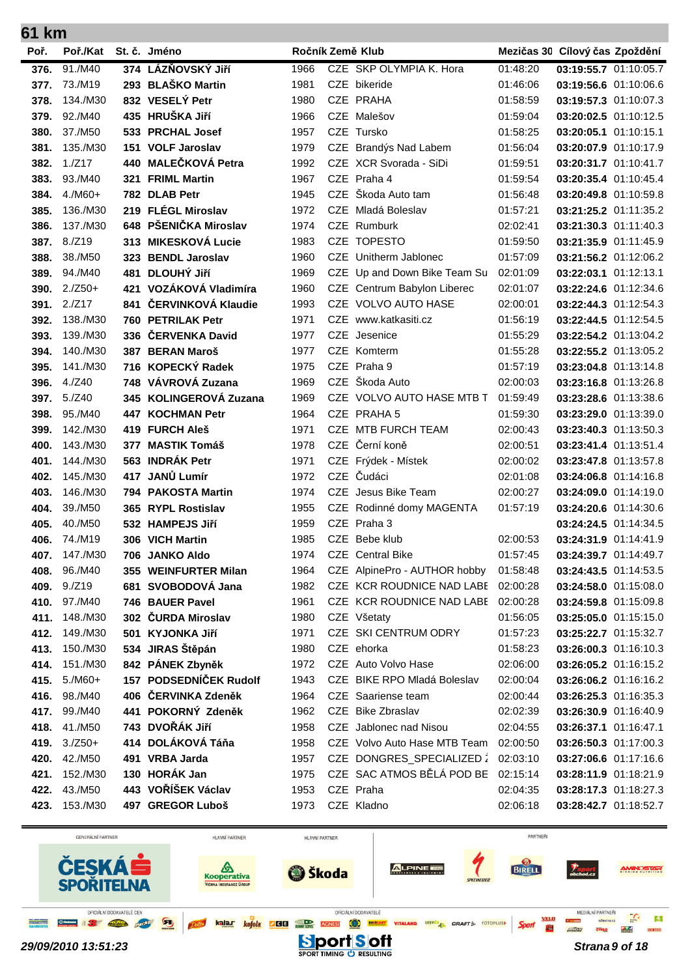| 61<br><b>km</b> |                      |       |                                      |              |            |                                    |                      |                                                |  |
|-----------------|----------------------|-------|--------------------------------------|--------------|------------|------------------------------------|----------------------|------------------------------------------------|--|
| Poř.            | Poř./Kat             |       | St. č. Jméno                         |              |            | Ročník Země Klub                   |                      | Mezičas 30 Cílový čas Zpoždění                 |  |
| 376.            | 91./M40              |       | 374 LÁZŇOVSKÝ Jiří                   | 1966         |            | CZE SKP OLYMPIA K. Hora            | 01:48:20             | 03:19:55.7 01:10:05.7                          |  |
| 377.            | 73./M19              | 293   | <b>BLAŠKO Martin</b>                 | 1981         |            | CZE bikeride                       | 01:46:06             | 03:19:56.6 01:10:06.6                          |  |
| 378.            | 134./M30             |       | 832 VESELY Petr                      | 1980         |            | CZE PRAHA                          | 01:58:59             | 03:19:57.3 01:10:07.3                          |  |
| 379.            | 92./M40              |       | 435 HRUŠKA Jiří                      | 1966         |            | CZE Malešov                        | 01:59:04             | 03:20:02.5 01:10:12.5                          |  |
| 380.            | 37./M50              |       | 533 PRCHAL Josef                     | 1957         |            | CZE Tursko                         | 01:58:25             | 03:20:05.1 01:10:15.1                          |  |
| 381.            | 135./M30             | 151   | <b>VOLF Jaroslav</b>                 | 1979         |            | CZE Brandýs Nad Labem              | 01:56:04             | 03:20:07.9 01:10:17.9                          |  |
| 382.            | 1./Z17               | 440   | <b>MALEČKOVÁ Petra</b>               | 1992         |            | CZE XCR Svorada - SiDi             | 01:59:51             | 03:20:31.7 01:10:41.7                          |  |
| 383.            | 93./M40              | 321   | <b>FRIML Martin</b>                  | 1967         |            | CZE Praha 4                        | 01:59:54             | 03:20:35.4 01:10:45.4                          |  |
| 384.            | $4./M60+$            |       | 782 DLAB Petr                        | 1945         |            | CZE Škoda Auto tam                 | 01:56:48             | 03:20:49.8 01:10:59.8                          |  |
| 385.            | 136./M30             | 219   | <b>FLÉGL Miroslav</b>                | 1972         | CZE.       | Mladá Boleslav                     | 01:57:21             | 03:21:25.2 01:11:35.2                          |  |
| 386.            | 137./M30             |       | 648 PŠENIČKA Miroslav                | 1974         |            | CZE Rumburk                        | 02:02:41             | 03:21:30.3 01:11:40.3                          |  |
| 387.            | 8./Z19               |       | 313 MIKESKOVÁ Lucie                  | 1983         |            | CZE TOPESTO                        | 01:59:50             | 03:21:35.9 01:11:45.9                          |  |
| 388.            | 38./M50              |       | 323 BENDL Jaroslav                   | 1960         |            | CZE Unitherm Jablonec              | 01:57:09             | 03:21:56.2 01:12:06.2                          |  |
| 389.            | 94./M40              | 481   | <b>DLOUHÝ JIří</b>                   | 1969         | <b>CZE</b> | Up and Down Bike Team Su           | 02:01:09             | 03:22:03.1 01:12:13.1                          |  |
| 390.            | $2./Z50+$            | 421   | VOZÁKOVÁ Vladimíra                   | 1960         |            | CZE Centrum Babylon Liberec        | 02:01:07             | 03:22:24.6 01:12:34.6                          |  |
| 391.            | 2./Z17               | 841   | ČERVINKOVÁ Klaudie                   | 1993         |            | CZE VOLVO AUTO HASE                | 02:00:01             | 03:22:44.3 01:12:54.3                          |  |
| 392.            | 138./M30             | 760 . | <b>PETRILAK Petr</b>                 | 1971         |            | CZE www.katkasiti.cz               | 01:56:19             | 03:22:44.5 01:12:54.5                          |  |
| 393.            | 139./M30             | 336   | ČERVENKA David                       | 1977         | CZE        | Jesenice                           | 01:55:29             | 03:22:54.2 01:13:04.2                          |  |
| 394.            | 140./M30             |       | 387 BERAN Maroš                      | 1977         |            | CZE Komterm                        | 01:55:28             | 03:22:55.2 01:13:05.2                          |  |
| 395.            | 141./M30             |       | 716 KOPECKÝ Radek                    | 1975         |            | CZE Praha 9                        | 01:57:19             | 03:23:04.8 01:13:14.8                          |  |
| 396.            | 4./Z40               |       | 748 VÁVROVÁ Zuzana                   | 1969         |            | CZE Škoda Auto                     | 02:00:03             | 03:23:16.8 01:13:26.8                          |  |
| 397.            | 5./Z40               | 345   | <b>KOLINGEROVÁ Zuzana</b>            | 1969         |            | CZE VOLVO AUTO HASE MTB T          | 01:59:49             | 03:23:28.6 01:13:38.6                          |  |
| 398.            | 95./M40              | 447   | <b>KOCHMAN Petr</b>                  | 1964         |            | CZE PRAHA 5                        | 01:59:30             | 03:23:29.0 01:13:39.0                          |  |
| 399.            | 142./M30             | 419.  | <b>FURCH Aleš</b>                    | 1971         | <b>CZE</b> | MTB FURCH TEAM                     | 02:00:43             | 03:23:40.3 01:13:50.3                          |  |
| 400.            | 143./M30             | 377   | <b>MASTIK Tomáš</b>                  | 1978         | <b>CZE</b> | Černí koně                         | 02:00:51             | 03:23:41.4 01:13:51.4                          |  |
| 401.            | 144./M30             | 563   | <b>INDRÁK Petr</b>                   | 1971         |            | CZE Frýdek - Místek                | 02:00:02             | 03:23:47.8 01:13:57.8                          |  |
| 402.            | 145./M30             | 417   | JANŮ Lumír                           | 1972         | CZE        | Čudáci                             | 02:01:08             | 03:24:06.8 01:14:16.8                          |  |
| 403.            | 146./M30             |       | 794 PAKOSTA Martin                   | 1974         | <b>CZE</b> | Jesus Bike Team                    | 02:00:27             | 03:24:09.0 01:14:19.0                          |  |
| 404.            | 39./M50              |       | 365 RYPL Rostislav                   | 1955         |            | CZE Rodinné domy MAGENTA           | 01:57:19             | 03:24:20.6 01:14:30.6                          |  |
| 405.            | 40./M50              |       | 532 HAMPEJS Jiří                     | 1959         | CZE        | Praha 3                            |                      | 03:24:24.5 01:14:34.5                          |  |
| 406.            | 74./M19              |       | 306 VICH Martin                      | 1985         |            | CZE Bebe klub                      | 02:00:53             | 03:24:31.9 01:14:41.9                          |  |
| 407.            | 147./M30             |       | 706 JANKO Aldo                       | 1974         |            | <b>CZE</b> Central Bike            | 01:57:45             | 03:24:39.7 01:14:49.7                          |  |
| 408.            | 96./M40              |       | 355 WEINFURTER Milan                 | 1964         |            | CZE AlpinePro - AUTHOR hobby       | 01:58:48             | 03:24:43.5 01:14:53.5                          |  |
|                 | 409. 9./Z19          |       | 681 SVOBODOVÁ Jana                   | 1982         |            | CZE KCR ROUDNICE NAD LABE 02:00:28 |                      | 03:24:58.0 01:15:08.0                          |  |
|                 | 410. 97./M40         |       | 746 BAUER Pavel                      | 1961         |            | CZE KCR ROUDNICE NAD LABE 02:00:28 |                      | 03:24:59.8 01:15:09.8                          |  |
| 411.            | 148./M30<br>149./M30 |       | 302 ČURDA Miroslav                   | 1980         |            | CZE Všetaty                        | 01:56:05             | 03:25:05.0 01:15:15.0                          |  |
| 412.            | 150./M30             |       | 501 KYJONKA Jiří<br>534 JIRAS Štěpán | 1971         |            | CZE SKI CENTRUM ODRY<br>CZE ehorka | 01:57:23             | 03:25:22.7 01:15:32.7                          |  |
| 413.<br>414.    | 151./M30             |       | 842 PÁNEK Zbyněk                     | 1980<br>1972 |            | CZE Auto Volvo Hase                | 01:58:23<br>02:06:00 | 03:26:00.3 01:16:10.3<br>03:26:05.2 01:16:15.2 |  |
| 415.            | $5./M60+$            |       | 157 PODSEDNÍČEK Rudolf               | 1943         |            | CZE BIKE RPO Mladá Boleslav        | 02:00:04             | 03:26:06.2 01:16:16.2                          |  |
| 416.            | 98./M40              |       | 406 ČERVINKA Zdeněk                  | 1964         |            | CZE Saariense team                 | 02:00:44             | 03:26:25.3 01:16:35.3                          |  |
| 417.            | 99./M40              |       | 441 POKORNÝ Zdeněk                   | 1962         |            | CZE Bike Zbraslav                  | 02:02:39             | 03:26:30.9 01:16:40.9                          |  |
| 418.            | 41./M50              |       | 743 DVOŘÁK Jiří                      | 1958         |            | CZE Jablonec nad Nisou             | 02:04:55             | 03:26:37.1 01:16:47.1                          |  |
| 419.            | $3./Z50+$            |       | 414 DOLÁKOVÁ Táňa                    | 1958         |            | CZE Volvo Auto Hase MTB Team       | 02:00:50             | 03:26:50.3 01:17:00.3                          |  |
| 420.            | 42./M50              |       | 491 VRBA Jarda                       | 1957         |            | CZE DONGRES_SPECIALIZED 2          | 02:03:10             | 03:27:06.6 01:17:16.6                          |  |
| 421.            | 152./M30             |       | 130 HORÁK Jan                        | 1975         |            | CZE SAC ATMOS BĚLÁ POD BE          | 02:15:14             | 03:28:11.9 01:18:21.9                          |  |
| 422.            | 43./M50              |       | 443 VOŘÍŠEK Václav                   | 1953         |            | CZE Praha                          | 02:04:35             | 03:28:17.3 01:18:27.3                          |  |
|                 | 423. 153./M30        |       | 497 GREGOR Luboš                     | 1973         |            | CZE Kladno                         | 02:06:18             | 03:28:42.7 01:18:52.7                          |  |
|                 |                      |       |                                      |              |            |                                    |                      |                                                |  |

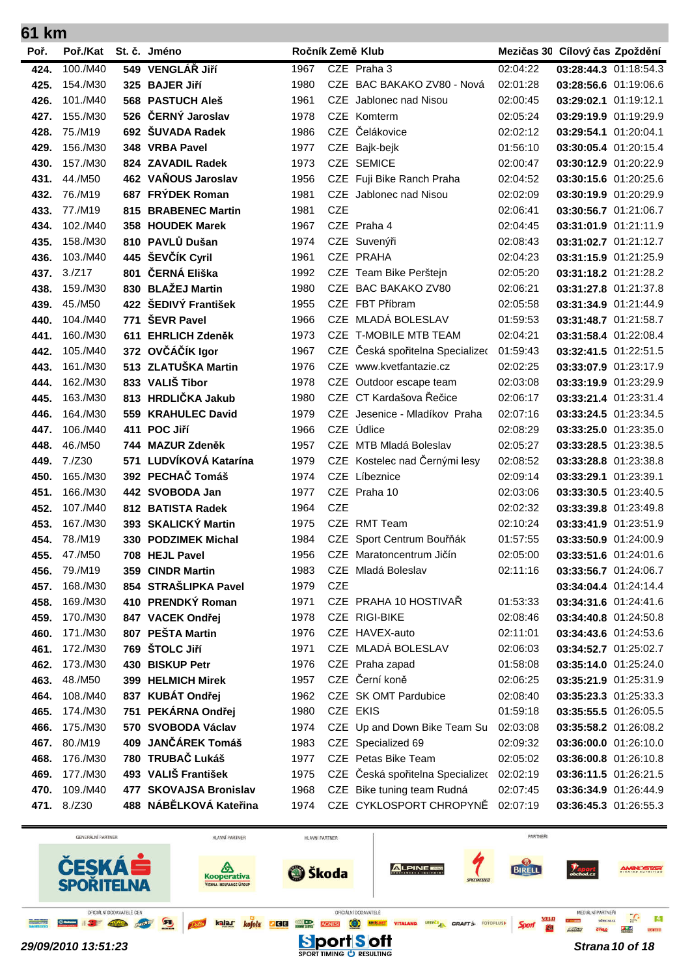| 61 km |             |     |                        |      |            |                                  |          |                                |  |
|-------|-------------|-----|------------------------|------|------------|----------------------------------|----------|--------------------------------|--|
| Poř.  | Poř./Kat    |     | St. č. Jméno           |      |            | Ročník Země Klub                 |          | Mezičas 30 Cílový čas Zpoždění |  |
| 424.  | 100./M40    |     | 549 VENGLÁŘ JIří       | 1967 |            | CZE Praha 3                      | 02:04:22 | 03:28:44.3 01:18:54.3          |  |
| 425.  | 154./M30    |     | 325 BAJER Jiří         | 1980 | <b>CZE</b> | BAC BAKAKO ZV80 - Nová           | 02:01:28 | 03:28:56.6 01:19:06.6          |  |
| 426.  | 101./M40    |     | 568 PASTUCH Aleš       | 1961 | <b>CZE</b> | Jablonec nad Nisou               | 02:00:45 | 03:29:02.1 01:19:12.1          |  |
| 427.  | 155./M30    |     | 526 ČERNÝ Jaroslav     | 1978 |            | CZE Komterm                      | 02:05:24 | 03:29:19.9 01:19:29.9          |  |
| 428.  | 75./M19     |     | 692 ŠUVADA Radek       | 1986 | <b>CZE</b> | Čelákovice                       | 02:02:12 | 03:29:54.1 01:20:04.1          |  |
| 429.  | 156./M30    |     | 348 VRBA Pavel         | 1977 | <b>CZE</b> | Bajk-bejk                        | 01:56:10 | 03:30:05.4 01:20:15.4          |  |
| 430.  | 157./M30    |     | 824 ZAVADIL Radek      | 1973 | CZE        | <b>SEMICE</b>                    | 02:00:47 | 03:30:12.9 01:20:22.9          |  |
| 431.  | 44./M50     |     | 462 VAŇOUS Jaroslav    | 1956 | <b>CZE</b> | Fuji Bike Ranch Praha            | 02:04:52 | 03:30:15.6 01:20:25.6          |  |
| 432.  | 76./M19     |     | 687 FRÝDEK Roman       | 1981 |            | CZE Jablonec nad Nisou           | 02:02:09 | 03:30:19.9 01:20:29.9          |  |
| 433.  | 77./M19     | 815 | <b>BRABENEC Martin</b> | 1981 | <b>CZE</b> |                                  | 02:06:41 | 03:30:56.7 01:21:06.7          |  |
| 434.  | 102./M40    |     | 358 HOUDEK Marek       | 1967 |            | CZE Praha 4                      | 02:04:45 | 03:31:01.9 01:21:11.9          |  |
| 435.  | 158./M30    |     | 810 PAVLŮ Dušan        | 1974 |            | CZE Suvenýři                     | 02:08:43 | 03:31:02.7 01:21:12.7          |  |
| 436.  | 103./M40    |     | 445 ŠEVČÍK Cyril       | 1961 |            | CZE PRAHA                        | 02:04:23 | 03:31:15.9 01:21:25.9          |  |
| 437.  | 3./Z17      | 801 | ČERNÁ Eliška           | 1992 |            | CZE Team Bike Perštejn           | 02:05:20 | 03:31:18.2 01:21:28.2          |  |
| 438.  | 159./M30    | 830 | <b>BLAŽEJ Martin</b>   | 1980 | <b>CZE</b> | <b>BAC BAKAKO ZV80</b>           | 02:06:21 | 03:31:27.8 01:21:37.8          |  |
| 439.  | 45./M50     |     | 422 ŠEDIVÝ František   | 1955 |            | CZE FBT Příbram                  | 02:05:58 | 03:31:34.9 01:21:44.9          |  |
| 440.  | 104./M40    | 771 | <b>ŠEVR Pavel</b>      | 1966 | <b>CZE</b> | MLADÁ BOLESLAV                   | 01:59:53 | 03:31:48.7 01:21:58.7          |  |
| 441.  | 160./M30    | 611 | <b>EHRLICH Zdeněk</b>  | 1973 |            | CZE T-MOBILE MTB TEAM            | 02:04:21 | 03:31:58.4 01:22:08.4          |  |
| 442.  | 105./M40    |     | 372 OVČÁČÍK Igor       | 1967 | <b>CZE</b> | Česká spořitelna Specialized     | 01:59:43 | 03:32:41.5 01:22:51.5          |  |
| 443.  | 161./M30    |     | 513 ZLATUŠKA Martin    | 1976 | <b>CZE</b> | www.kvetfantazie.cz              | 02:02:25 | 03:33:07.9 01:23:17.9          |  |
| 444.  | 162./M30    |     | 833 VALIŠ Tibor        | 1978 | <b>CZE</b> | Outdoor escape team              | 02:03:08 | 03:33:19.9 01:23:29.9          |  |
| 445.  | 163./M30    |     | 813 HRDLIČKA Jakub     | 1980 |            | CZE CT Kardašova Řečice          | 02:06:17 | 03:33:21.4 01:23:31.4          |  |
| 446.  | 164./M30    | 559 | <b>KRAHULEC David</b>  | 1979 | <b>CZE</b> | Jesenice - Mladíkov Praha        | 02:07:16 | 03:33:24.5 01:23:34.5          |  |
| 447.  | 106./M40    | 411 | POC Jiří               | 1966 | <b>CZE</b> | Údlice                           | 02:08:29 | 03:33:25.0 01:23:35.0          |  |
| 448.  | 46./M50     |     | 744 MAZUR Zdeněk       | 1957 |            | CZE MTB Mladá Boleslav           | 02:05:27 | 03:33:28.5 01:23:38.5          |  |
| 449.  | 7./Z30      | 571 | LUDVÍKOVÁ Katarína     | 1979 |            | CZE Kostelec nad Černými lesy    | 02:08:52 | 03:33:28.8 01:23:38.8          |  |
| 450.  | 165./M30    |     | 392 PECHAČ Tomáš       | 1974 | <b>CZE</b> | Líbeznice                        | 02:09:14 | 03:33:29.1 01:23:39.1          |  |
| 451.  | 166./M30    |     | 442 SVOBODA Jan        | 1977 |            | CZE Praha 10                     | 02:03:06 | 03:33:30.5 01:23:40.5          |  |
| 452.  | 107./M40    |     | 812 BATISTA Radek      | 1964 | <b>CZE</b> |                                  | 02:02:32 | 03:33:39.8 01:23:49.8          |  |
| 453.  | 167./M30    |     | 393 SKALICKÝ Martin    | 1975 |            | CZE RMT Team                     | 02:10:24 | 03:33:41.9 01:23:51.9          |  |
| 454.  | 78./M19     | 330 | <b>PODZIMEK Michal</b> | 1984 | <b>CZE</b> | Sport Centrum Bouřňák            | 01:57:55 | 03:33:50.9 01:24:00.9          |  |
| 455.  | 47./M50     |     | 708 HEJL Pavel         | 1956 |            | CZE Maratoncentrum Jičín         | 02:05:00 | 03:33:51.6 01:24:01.6          |  |
| 456.  | 79./M19     |     | 359 CINDR Martin       | 1983 | <b>CZE</b> | Mladá Boleslav                   | 02:11:16 | 03:33:56.7 01:24:06.7          |  |
| 457.  | 168./M30    |     | 854 STRAŠLIPKA Pavel   | 1979 | <b>CZE</b> |                                  |          | 03:34:04.4 01:24:14.4          |  |
| 458.  | 169./M30    |     | 410 PRENDKÝ Roman      | 1971 |            | CZE PRAHA 10 HOSTIVAR            | 01:53:33 | 03:34:31.6 01:24:41.6          |  |
| 459.  | 170./M30    |     | 847 VACEK Ondřej       | 1978 |            | CZE RIGI-BIKE                    | 02:08:46 | 03:34:40.8 01:24:50.8          |  |
| 460.  | 171./M30    |     | 807 PEŠTA Martin       | 1976 |            | CZE HAVEX-auto                   | 02:11:01 | 03:34:43.6 01:24:53.6          |  |
| 461.  | 172./M30    |     | 769 ŠTOLC Jiří         | 1971 |            | CZE MLADÁ BOLESLAV               | 02:06:03 | 03:34:52.7 01:25:02.7          |  |
| 462.  | 173./M30    |     | 430 BISKUP Petr        | 1976 |            | CZE Praha zapad                  | 01:58:08 | 03:35:14.0 01:25:24.0          |  |
| 463.  | 48./M50     |     | 399 HELMICH Mirek      | 1957 |            | CZE Černí koně                   | 02:06:25 | 03:35:21.9 01:25:31.9          |  |
| 464.  | 108./M40    |     | 837 KUBÁT Ondřej       | 1962 |            | CZE SK OMT Pardubice             | 02:08:40 | 03:35:23.3 01:25:33.3          |  |
| 465.  | 174./M30    |     | 751 PEKÁRNA Ondřej     | 1980 |            | CZE EKIS                         | 01:59:18 | 03:35:55.5 01:26:05.5          |  |
| 466.  | 175./M30    |     | 570 SVOBODA Václav     | 1974 |            | CZE Up and Down Bike Team Su     | 02:03:08 | 03:35:58.2 01:26:08.2          |  |
| 467.  | 80./M19     |     | 409 JANČÁREK Tomáš     | 1983 |            | CZE Specialized 69               | 02:09:32 | 03:36:00.0 01:26:10.0          |  |
| 468.  | 176./M30    |     | 780 TRUBAČ Lukáš       | 1977 |            | CZE Petas Bike Team              | 02:05:02 | 03:36:00.8 01:26:10.8          |  |
| 469.  | 177./M30    |     | 493 VALIŠ František    | 1975 |            | CZE Česká spořitelna Specializec | 02:02:19 | 03:36:11.5 01:26:21.5          |  |
| 470.  | 109./M40    |     | 477 SKOVAJSA Bronislav | 1968 |            | CZE Bike tuning team Rudná       | 02:07:45 | 03:36:34.9 01:26:44.9          |  |
|       | 471. 8./Z30 |     | 488 NÁBĚLKOVÁ Kateřina | 1974 |            | CZE CYKLOSPORT CHROPYNĚ          | 02:07:19 | 03:36:45.3 01:26:55.3          |  |

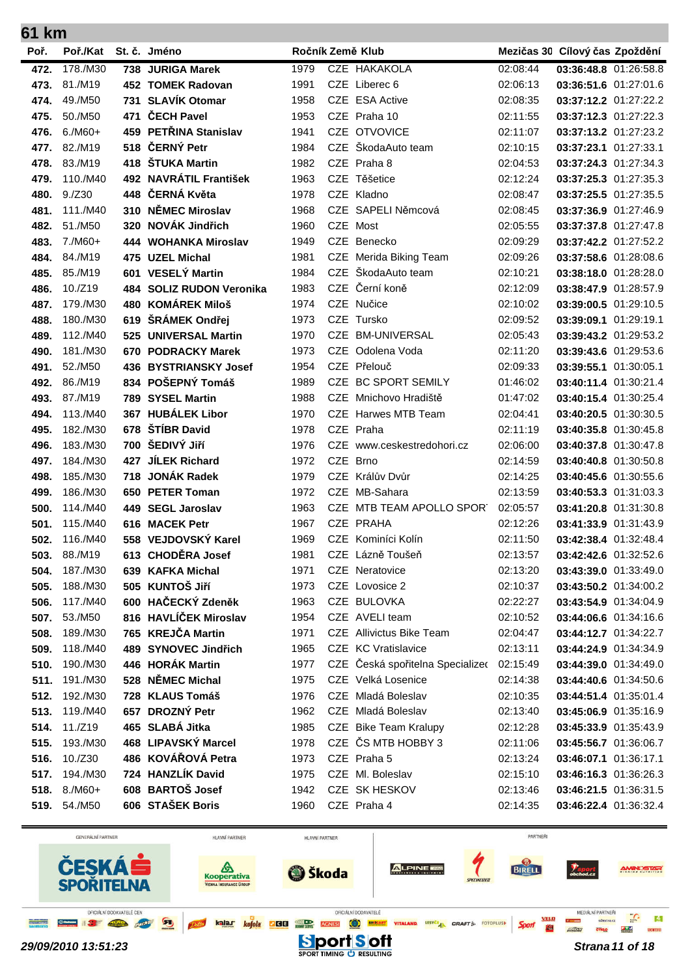| 61 km        |                      |     |                                             |              |            |                                            |                      |                                                |  |
|--------------|----------------------|-----|---------------------------------------------|--------------|------------|--------------------------------------------|----------------------|------------------------------------------------|--|
| Poř.         | Poř./Kat             |     | St. č. Jméno                                |              |            | Ročník Země Klub                           |                      | Mezičas 30 Cílový čas Zpoždění                 |  |
| 472.         | 178./M30             |     | 738 JURIGA Marek                            | 1979         |            | CZE HAKAKOLA                               | 02:08:44             | 03:36:48.8 01:26:58.8                          |  |
| 473.         | 81./M19              |     | 452 TOMEK Radovan                           | 1991         |            | CZE Liberec 6                              | 02:06:13             | 03:36:51.6 01:27:01.6                          |  |
| 474.         | 49./M50              | 731 | <b>SLAVÍK Otomar</b>                        | 1958         | <b>CZE</b> | <b>ESA Active</b>                          | 02:08:35             | 03:37:12.2 01:27:22.2                          |  |
| 475.         | 50./M50              | 471 | ČECH Pavel                                  | 1953         |            | CZE Praha 10                               | 02:11:55             | 03:37:12.3 01:27:22.3                          |  |
| 476.         | $6./M60+$            |     | 459 PETŘINA Stanislav                       | 1941         |            | CZE OTVOVICE                               | 02:11:07             | 03:37:13.2 01:27:23.2                          |  |
| 477.         | 82./M19              | 518 | ČERNÝ Petr                                  | 1984         | <b>CZE</b> | ŠkodaAuto team                             | 02:10:15             | 03:37:23.1 01:27:33.1                          |  |
| 478.         | 83./M19              | 418 | <b>ŠTUKA Martin</b>                         | 1982         |            | CZE Praha 8                                | 02:04:53             | 03:37:24.3 01:27:34.3                          |  |
| 479.         | 110./M40             |     | 492 NAVRÁTIL František                      | 1963         |            | CZE Těšetice                               | 02:12:24             | 03:37:25.3 01:27:35.3                          |  |
| 480.         | 9./Z30               | 448 | ČERNÁ Květa                                 | 1978         |            | CZE Kladno                                 | 02:08:47             | 03:37:25.5 01:27:35.5                          |  |
| 481.         | 111./M40             | 310 | NĚMEC Miroslav                              | 1968         | <b>CZE</b> | SAPELI Němcová                             | 02:08:45             | 03:37:36.9 01:27:46.9                          |  |
| 482.         | 51./M50              | 320 | NOVÁK Jindřich                              | 1960         |            | CZE Most                                   | 02:05:55             | 03:37:37.8 01:27:47.8                          |  |
| 483.         | 7./M60+              |     | 444 WOHANKA Miroslav                        | 1949         | <b>CZE</b> | Benecko                                    | 02:09:29             | 03:37:42.2 01:27:52.2                          |  |
| 484.         | 84./M19              |     | 475 UZEL Michal                             | 1981         | <b>CZE</b> | Merida Biking Team                         | 02:09:26             | 03:37:58.6 01:28:08.6                          |  |
| 485.         | 85./M19              |     | 601 VESELÝ Martin                           | 1984         | <b>CZE</b> | ŠkodaAuto team                             | 02:10:21             | 03:38:18.0 01:28:28.0                          |  |
| 486.         | 10./Z19              | 484 | <b>SOLIZ RUDON Veronika</b>                 | 1983         | <b>CZE</b> | Černí koně                                 | 02:12:09             | 03:38:47.9 01:28:57.9                          |  |
| 487.         | 179./M30             | 480 | <b>KOMÁREK Miloš</b>                        | 1974         |            | CZE Nučice                                 | 02:10:02             | 03:39:00.5 01:29:10.5                          |  |
| 488.         | 180./M30             | 619 | ŠRÁMEK Ondřej                               | 1973         |            | CZE Tursko                                 | 02:09:52             | 03:39:09.1 01:29:19.1                          |  |
| 489.         | 112./M40             | 525 | <b>UNIVERSAL Martin</b>                     | 1970         | <b>CZE</b> | <b>BM-UNIVERSAL</b>                        | 02:05:43             | 03:39:43.2 01:29:53.2                          |  |
| 490.         | 181./M30             |     | 670 PODRACKY Marek                          | 1973         |            | CZE Odolena Voda                           | 02:11:20             | 03:39:43.6 01:29:53.6                          |  |
| 491.         | 52./M50              |     | 436 BYSTRIANSKY Josef                       | 1954         |            | CZE Přelouč                                | 02:09:33             | 03:39:55.1 01:30:05.1                          |  |
| 492.         | 86./M19              |     | 834 POŠEPNÝ Tomáš                           | 1989         |            | CZE BC SPORT SEMILY                        | 01:46:02             | 03:40:11.4 01:30:21.4                          |  |
| 493.         | 87./M19              |     | 789 SYSEL Martin                            | 1988         | CZE.       | Mnichovo Hradiště                          | 01:47:02             | 03:40:15.4 01:30:25.4                          |  |
| 494.         | 113./M40             | 367 | <b>HUBÁLEK Libor</b>                        | 1970         | CZE        | Harwes MTB Team                            | 02:04:41             | 03:40:20.5 01:30:30.5                          |  |
| 495.         | 182./M30             | 678 | ŠTÍBR David                                 | 1978         |            | CZE Praha                                  | 02:11:19             | 03:40:35.8 01:30:45.8                          |  |
| 496.         | 183./M30             | 700 | ŠEDIVÝ JIří                                 | 1976         |            | CZE www.ceskestredohori.cz                 | 02:06:00             | 03:40:37.8 01:30:47.8                          |  |
| 497.         | 184./M30             | 427 | <b>JÍLEK Richard</b>                        | 1972         | <b>CZE</b> | <b>Brno</b>                                | 02:14:59             | 03:40:40.8 01:30:50.8                          |  |
| 498.         | 185./M30             |     | 718 JONÁK Radek                             | 1979         |            | CZE Králův Dvůr                            | 02:14:25             | 03:40:45.6 01:30:55.6                          |  |
| 499.         | 186./M30             |     | 650 PETER Toman                             | 1972         | <b>CZE</b> | MB-Sahara                                  | 02:13:59             | 03:40:53.3 01:31:03.3                          |  |
| 500.         | 114./M40             |     | 449 SEGL Jaroslav                           | 1963         |            | CZE MTB TEAM APOLLO SPORT                  | 02:05:57             | 03:41:20.8 01:31:30.8                          |  |
| 501.         | 115./M40             |     | 616 MACEK Petr                              | 1967         |            | CZE PRAHA                                  | 02:12:26             | 03:41:33.9 01:31:43.9                          |  |
| 502.         | 116./M40             |     | 558 VEJDOVSKÝ Karel                         | 1969         |            | CZE Kominíci Kolín                         | 02:11:50             | 03:42:38.4 01:32:48.4                          |  |
| 503.         | 88./M19              |     | 613 CHODĚRA Josef                           | 1981         |            | CZE Lázně Toušeň                           | 02:13:57             | 03:42:42.6 01:32:52.6                          |  |
| 504.         | 187./M30             |     | 639 KAFKA Michal                            | 1971         |            | <b>CZE</b> Neratovice                      | 02:13:20             | 03:43:39.0 01:33:49.0                          |  |
| 505.         | 188./M30             |     | 505 KUNTOŠ Jiří                             | 1973         |            | CZE Lovosice 2                             | 02:10:37             | 03:43:50.2 01:34:00.2                          |  |
| 506.         | 117./M40             |     | 600 HAČECKÝ Zdeněk<br>816 HAVLÍČEK Miroslav | 1963         |            | CZE BULOVKA                                | 02:22:27             | 03:43:54.9 01:34:04.9                          |  |
| 507.         | 53./M50              |     | 765 KREJČA Martin                           | 1954         |            | CZE AVELI team<br>CZE Allivictus Bike Team | 02:10:52             | 03:44:06.6 01:34:16.6                          |  |
| 508.<br>509. | 189./M30<br>118./M40 |     | 489 SYNOVEC Jindřich                        | 1971<br>1965 |            | <b>CZE KC Vratislavice</b>                 | 02:04:47<br>02:13:11 | 03:44:12.7 01:34:22.7<br>03:44:24.9 01:34:34.9 |  |
| 510.         | 190./M30             |     | 446 HORÁK Martin                            | 1977         |            | CZE Česká spořitelna Specializec           | 02:15:49             | 03:44:39.0 01:34:49.0                          |  |
| 511.         | 191./M30             |     | 528 NĚMEC Michal                            | 1975         |            | CZE Velká Losenice                         | 02:14:38             | 03:44:40.6 01:34:50.6                          |  |
| 512.         | 192./M30             |     | 728 KLAUS Tomáš                             | 1976         |            | CZE Mladá Boleslav                         | 02:10:35             | 03:44:51.4 01:35:01.4                          |  |
| 513.         | 119./M40             |     | 657 DROZNÝ Petr                             | 1962         |            | CZE Mladá Boleslav                         | 02:13:40             | 03:45:06.9 01:35:16.9                          |  |
| 514.         | 11./Z19              |     | 465 SLABÁ Jitka                             | 1985         |            | CZE Bike Team Kralupy                      | 02:12:28             | 03:45:33.9 01:35:43.9                          |  |
| 515.         | 193./M30             |     | 468 LIPAVSKÝ Marcel                         | 1978         |            | CZE ČS MTB HOBBY 3                         | 02:11:06             | 03:45:56.7 01:36:06.7                          |  |
| 516.         | 10./Z30              |     | 486 KOVÁŘOVÁ Petra                          | 1973         |            | CZE Praha 5                                | 02:13:24             | 03:46:07.1 01:36:17.1                          |  |
| 517.         | 194./M30             |     | 724 HANZLÍK David                           | 1975         |            | CZE MI. Boleslav                           | 02:15:10             | 03:46:16.3 01:36:26.3                          |  |
|              | 518. 8./M60+         |     | 608 BARTOŠ Josef                            | 1942         |            | CZE SK HESKOV                              | 02:13:46             | 03:46:21.5 01:36:31.5                          |  |
| 519.         | 54./M50              |     | 606 STAŠEK Boris                            | 1960         |            | CZE Praha 4                                | 02:14:35             | 03:46:22.4 01:36:32.4                          |  |
|              |                      |     |                                             |              |            |                                            |                      |                                                |  |

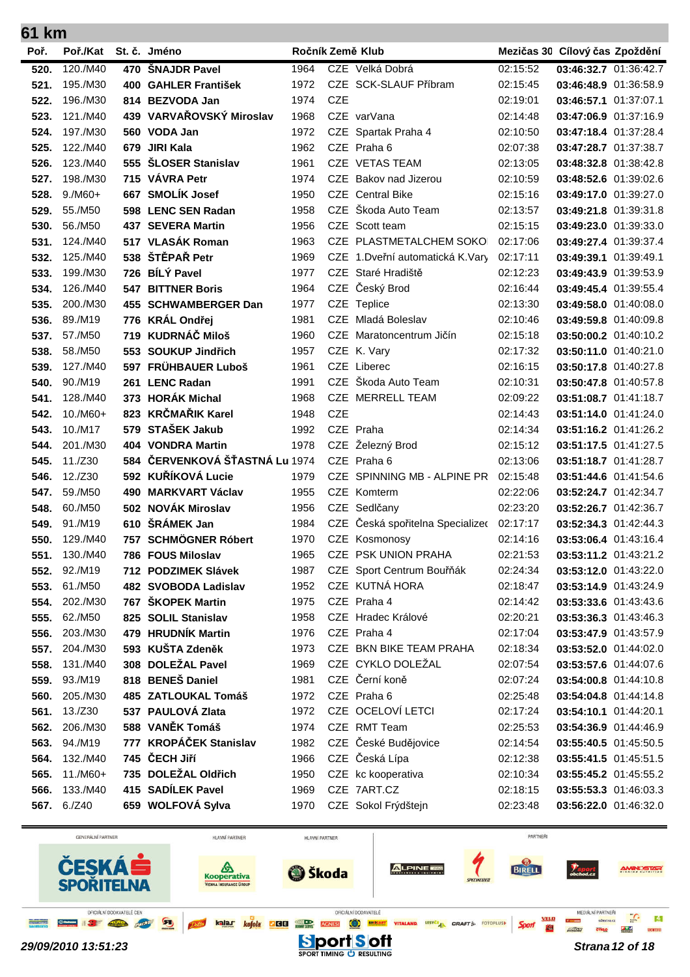| 61 km        |                     |     |                                           |              |            |                                             |                      |                                                |  |
|--------------|---------------------|-----|-------------------------------------------|--------------|------------|---------------------------------------------|----------------------|------------------------------------------------|--|
| Poř.         | Poř./Kat            |     | St. č. Jméno                              |              |            | Ročník Země Klub                            |                      | Mezičas 30 Cílový čas Zpoždění                 |  |
| 520.         | 120./M40            |     | 470 ŠNAJDR Pavel                          | 1964         |            | CZE Velká Dobrá                             | 02:15:52             | 03:46:32.7 01:36:42.7                          |  |
| 521.         | 195./M30            |     | 400 GAHLER František                      | 1972         |            | CZE SCK-SLAUF Příbram                       | 02:15:45             | 03:46:48.9 01:36:58.9                          |  |
| 522.         | 196./M30            |     | 814 BEZVODA Jan                           | 1974         | <b>CZE</b> |                                             | 02:19:01             | 03:46:57.1 01:37:07.1                          |  |
| 523.         | 121./M40            |     | 439 VARVAŘOVSKÝ Miroslav                  | 1968         |            | CZE varVana                                 | 02:14:48             | 03:47:06.9 01:37:16.9                          |  |
| 524.         | 197./M30            |     | 560 VODA Jan                              | 1972         |            | CZE Spartak Praha 4                         | 02:10:50             | 03:47:18.4 01:37:28.4                          |  |
| 525.         | 122./M40            |     | 679 JIRI Kala                             | 1962         |            | CZE Praha 6                                 | 02:07:38             | 03:47:28.7 01:37:38.7                          |  |
| 526.         | 123./M40            |     | 555 ŠLOSER Stanislav                      | 1961         |            | CZE VETAS TEAM                              | 02:13:05             | 03:48:32.8 01:38:42.8                          |  |
| 527.         | 198./M30            |     | 715 VÁVRA Petr                            | 1974         |            | CZE Bakov nad Jizerou                       | 02:10:59             | 03:48:52.6 01:39:02.6                          |  |
| 528.         | $9./M60+$           |     | 667 SMOLÍK Josef                          | 1950         |            | CZE Central Bike                            | 02:15:16             | 03:49:17.0 01:39:27.0                          |  |
| 529.         | 55./M50             |     | 598 LENC SEN Radan                        | 1958         | <b>CZE</b> | Škoda Auto Team                             | 02:13:57             | 03:49:21.8 01:39:31.8                          |  |
| 530.         | 56./M50             |     | 437 SEVERA Martin                         | 1956         | <b>CZE</b> | Scott team                                  | 02:15:15             | 03:49:23.0 01:39:33.0                          |  |
| 531.         | 124./M40            |     | 517 VLASÁK Roman                          | 1963         |            | CZE PLASTMETALCHEM SOKO                     | 02:17:06             | 03:49:27.4 01:39:37.4                          |  |
| 532.         | 125./M40            |     | 538 ŠTĚPAŘ Petr                           | 1969         |            | CZE 1.Dveřní automatická K.Vary             | 02:17:11             | 03:49:39.1 01:39:49.1                          |  |
| 533.         | 199./M30            |     | 726 BÍLÝ Pavel                            | 1977         | CZE        | Staré Hradiště                              | 02:12:23             | 03:49:43.9 01:39:53.9                          |  |
| 534.         | 126./M40            | 547 | <b>BITTNER Boris</b>                      | 1964         | CZE        | Český Brod                                  | 02:16:44             | 03:49:45.4 01:39:55.4                          |  |
| 535.         | 200./M30            |     | 455 SCHWAMBERGER Dan                      | 1977         |            | CZE Teplice                                 | 02:13:30             | 03:49:58.0 01:40:08.0                          |  |
| 536.         | 89./M19             |     | 776 KRÁL Ondřej                           | 1981         | CZE        | Mladá Boleslav                              | 02:10:46             | 03:49:59.8 01:40:09.8                          |  |
| 537.         | 57./M50             |     | 719 KUDRNÁČ Miloš                         | 1960         | <b>CZE</b> | Maratoncentrum Jičín                        | 02:15:18             | 03:50:00.2 01:40:10.2                          |  |
| 538.         | 58./M50             |     | 553 SOUKUP Jindřich                       | 1957         |            | CZE K. Vary                                 | 02:17:32             | 03:50:11.0 01:40:21.0                          |  |
| 539.         | 127./M40            |     | 597 FRÜHBAUER Luboš                       | 1961         |            | CZE Liberec                                 | 02:16:15             | 03:50:17.8 01:40:27.8                          |  |
| 540.         | 90./M19             |     | 261 LENC Radan                            | 1991         | CZE        | Škoda Auto Team                             | 02:10:31             | 03:50:47.8 01:40:57.8                          |  |
| 541.         | 128./M40            |     | 373 HORÁK Michal                          | 1968         |            | CZE MERRELL TEAM                            | 02:09:22             | 03:51:08.7 01:41:18.7                          |  |
| 542.         | $10./M60+$          | 823 | <b>KRČMAŘIK Karel</b>                     | 1948         | <b>CZE</b> |                                             | 02:14:43             | 03:51:14.0 01:41:24.0                          |  |
| 543.         | 10./M17             |     | 579 STAŠEK Jakub                          | 1992         |            | CZE Praha                                   | 02:14:34             | 03:51:16.2 01:41:26.2                          |  |
| 544.         | 201./M30            |     | 404 VONDRA Martin                         | 1978         | <b>CZE</b> | Železný Brod                                | 02:15:12             | 03:51:17.5 01:41:27.5                          |  |
| 545.         | 11./Z30             |     | 584 ČERVENKOVÁ ŠŤASTNÁ Lu 1974            |              |            | CZE Praha 6                                 | 02:13:06             | 03:51:18.7 01:41:28.7                          |  |
| 546.         | 12./Z30             |     | 592 KUŘÍKOVÁ Lucie                        | 1979         | <b>CZE</b> | SPINNING MB - ALPINE PR                     | 02:15:48             | 03:51:44.6 01:41:54.6                          |  |
| 547.         | 59./M50             |     | 490 MARKVART Václav                       | 1955         |            | CZE Komterm                                 | 02:22:06             | 03:52:24.7 01:42:34.7                          |  |
| 548.         | 60./M50             |     | 502 NOVÁK Miroslav                        | 1956         |            | CZE Sedlčany                                | 02:23:20             | 03:52:26.7 01:42:36.7                          |  |
| 549.         | 91./M19             |     | 610 ŠRÁMEK Jan                            | 1984         | <b>CZE</b> | Česká spořitelna Specializeo                | 02:17:17             | 03:52:34.3 01:42:44.3                          |  |
| 550.         | 129./M40            |     | 757 SCHMÖGNER Róbert                      | 1970         |            | CZE Kosmonosy                               | 02:14:16             | 03:53:06.4 01:43:16.4                          |  |
| 551.         | 130./M40            |     | 786 FOUS Miloslav                         | 1965         |            | CZE PSK UNION PRAHA                         | 02:21:53             | 03:53:11.2 01:43:21.2                          |  |
| 552.         | 92./M19             |     | 712 PODZIMEK Slávek                       | 1987         |            | CZE Sport Centrum Bouřňák<br>CZE KUTNÁ HORA | 02:24:34             | 03:53:12.0 01:43:22.0                          |  |
| 553.<br>554. | 61./M50<br>202./M30 |     | 482 SVOBODA Ladislav<br>767 ŠKOPEK Martin | 1952<br>1975 |            | CZE Praha 4                                 | 02:18:47<br>02:14:42 | 03:53:14.9 01:43:24.9<br>03:53:33.6 01:43:43.6 |  |
| 555.         | 62./M50             |     | 825 SOLIL Stanislav                       | 1958         |            | CZE Hradec Králové                          | 02:20:21             | 03:53:36.3 01:43:46.3                          |  |
| 556.         | 203./M30            |     | 479 HRUDNÍK Martin                        | 1976         |            | CZE Praha 4                                 | 02:17:04             | 03:53:47.9 01:43:57.9                          |  |
| 557.         | 204./M30            |     | 593 KUŠTA Zdeněk                          | 1973         |            | CZE BKN BIKE TEAM PRAHA                     | 02:18:34             | 03:53:52.0 01:44:02.0                          |  |
| 558.         | 131./M40            |     | 308 DOLEŽAL Pavel                         | 1969         |            | CZE CYKLO DOLEŽAL                           | 02:07:54             | 03:53:57.6 01:44:07.6                          |  |
| 559.         | 93./M19             |     | 818 BENEŠ Daniel                          | 1981         |            | CZE Černí koně                              | 02:07:24             | 03:54:00.8 01:44:10.8                          |  |
| 560.         | 205./M30            |     | 485 ZATLOUKAL Tomáš                       | 1972         |            | CZE Praha 6                                 | 02:25:48             | 03:54:04.8 01:44:14.8                          |  |
| 561.         | 13./Z30             |     | 537 PAULOVÁ Zlata                         | 1972         |            | CZE OCELOVÍ LETCI                           | 02:17:24             | 03:54:10.1 01:44:20.1                          |  |
| 562.         | 206./M30            |     | 588 VANĚK Tomáš                           | 1974         |            | CZE RMT Team                                | 02:25:53             | 03:54:36.9 01:44:46.9                          |  |
| 563.         | 94./M19             |     | 777 KROPÁČEK Stanislav                    | 1982         |            | CZE České Budějovice                        | 02:14:54             | 03:55:40.5 01:45:50.5                          |  |
| 564.         | 132./M40            |     | 745 ČECH Jiří                             | 1966         |            | CZE Česká Lípa                              | 02:12:38             | 03:55:41.5 01:45:51.5                          |  |
| 565.         | 11./M60+            |     | 735 DOLEŽAL Oldřich                       | 1950         |            | CZE kc kooperativa                          | 02:10:34             | 03:55:45.2 01:45:55.2                          |  |
| 566.         | 133./M40            |     | 415 SADÍLEK Pavel                         | 1969         |            | CZE 7ART.CZ                                 | 02:18:15             | 03:55:53.3 01:46:03.3                          |  |
| 567.         | 6./Z40              |     | 659 WOLFOVÁ Sylva                         | 1970         |            | CZE Sokol Frýdštejn                         | 02:23:48             | 03:56:22.0 01:46:32.0                          |  |
|              |                     |     |                                           |              |            |                                             |                      |                                                |  |

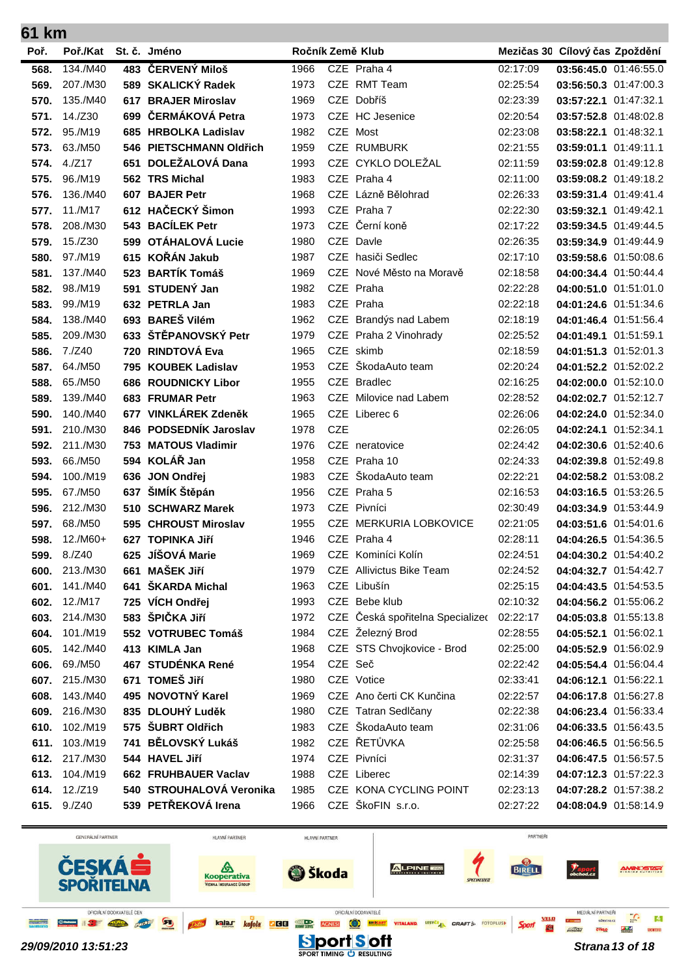| 61 km |                    |     |                          |      |            |                                  |          |                                |  |  |
|-------|--------------------|-----|--------------------------|------|------------|----------------------------------|----------|--------------------------------|--|--|
| Poř.  | Poř./Kat           |     | St. č. Jméno             |      |            | Ročník Země Klub                 |          | Mezičas 30 Cílový čas Zpoždění |  |  |
| 568.  | 134./M40           |     | 483 ČERVENÝ Miloš        | 1966 |            | CZE Praha 4                      | 02:17:09 | 03:56:45.0 01:46:55.0          |  |  |
| 569.  | 207./M30           |     | 589 SKALICKÝ Radek       | 1973 |            | CZE RMT Team                     | 02:25:54 | 03:56:50.3 01:47:00.3          |  |  |
| 570.  | 135./M40           |     | 617 BRAJER Miroslav      | 1969 |            | CZE Dobříš                       | 02:23:39 | 03:57:22.1 01:47:32.1          |  |  |
| 571.  | 14./Z30            |     | 699 ČERMÁKOVÁ Petra      | 1973 |            | CZE HC Jesenice                  | 02:20:54 | 03:57:52.8 01:48:02.8          |  |  |
| 572.  | 95./M19            |     | 685 HRBOLKA Ladislav     | 1982 |            | CZE Most                         | 02:23:08 | 03:58:22.1 01:48:32.1          |  |  |
| 573.  | 63./M50            |     | 546 PIETSCHMANN Oldřich  | 1959 |            | <b>CZE RUMBURK</b>               | 02:21:55 | 03:59:01.1 01:49:11.1          |  |  |
| 574.  | 4./Z17             |     | 651 DOLEŽALOVÁ Dana      | 1993 |            | CZE CYKLO DOLEŽAL                | 02:11:59 | 03:59:02.8 01:49:12.8          |  |  |
| 575.  | 96./M19            |     | 562 TRS Michal           | 1983 |            | CZE Praha 4                      | 02:11:00 | 03:59:08.2 01:49:18.2          |  |  |
| 576.  | 136./M40           |     | 607 BAJER Petr           | 1968 |            | CZE Lázně Bělohrad               | 02:26:33 | 03:59:31.4 01:49:41.4          |  |  |
| 577.  | 11./M17            |     | 612 HAČECKÝ Šimon        | 1993 |            | CZE Praha 7                      | 02:22:30 | 03:59:32.1 01:49:42.1          |  |  |
| 578.  | 208./M30           |     | 543 BACÍLEK Petr         | 1973 |            | CZE Černí koně                   | 02:17:22 | 03:59:34.5 01:49:44.5          |  |  |
| 579.  | 15./Z30            |     | 599 OTÁHALOVÁ Lucie      | 1980 |            | CZE Davle                        | 02:26:35 | 03:59:34.9 01:49:44.9          |  |  |
| 580.  | 97./M19            |     | 615 KOŘÁN Jakub          | 1987 |            | CZE hasiči Sedlec                | 02:17:10 | 03:59:58.6 01:50:08.6          |  |  |
| 581.  | 137./M40           |     | 523 BARTÍK Tomáš         | 1969 |            | CZE Nové Město na Moravě         | 02:18:58 | 04:00:34.4 01:50:44.4          |  |  |
| 582.  | 98./M19            |     | 591 STUDENÝ Jan          | 1982 |            | CZE Praha                        | 02:22:28 | 04:00:51.0 01:51:01.0          |  |  |
| 583.  | 99./M19            |     | 632 PETRLA Jan           | 1983 |            | CZE Praha                        | 02:22:18 | 04:01:24.6 01:51:34.6          |  |  |
| 584.  | 138./M40           |     | 693 BAREŠ Vilém          | 1962 |            | CZE Brandýs nad Labem            | 02:18:19 | 04:01:46.4 01:51:56.4          |  |  |
| 585.  | 209./M30           |     | 633 ŠTĚPANOVSKÝ Petr     | 1979 |            | CZE Praha 2 Vinohrady            | 02:25:52 | 04:01:49.1 01:51:59.1          |  |  |
| 586.  | 7./Z40             |     | 720 RINDTOVÁ Eva         | 1965 |            | CZE skimb                        | 02:18:59 | 04:01:51.3 01:52:01.3          |  |  |
| 587.  | 64./M50            |     | 795 KOUBEK Ladislav      | 1953 |            | CZE ŠkodaAuto team               | 02:20:24 | 04:01:52.2 01:52:02.2          |  |  |
| 588.  | 65./M50            |     | 686 ROUDNICKY Libor      | 1955 |            | CZE Bradlec                      | 02:16:25 | 04:02:00.0 01:52:10.0          |  |  |
| 589.  | 139./M40           |     | 683 FRUMAR Petr          | 1963 |            | CZE Milovice nad Labem           | 02:28:52 | 04:02:02.7 01:52:12.7          |  |  |
| 590.  | 140./M40           |     | 677 VINKLÁREK Zdeněk     | 1965 |            | CZE Liberec 6                    | 02:26:06 | 04:02:24.0 01:52:34.0          |  |  |
| 591.  | 210./M30           |     | 846 PODSEDNÍK Jaroslav   | 1978 | <b>CZE</b> |                                  | 02:26:05 | 04:02:24.1 01:52:34.1          |  |  |
| 592.  | 211./M30           |     | 753 MATOUS Vladimir      | 1976 |            | CZE neratovice                   | 02:24:42 | 04:02:30.6 01:52:40.6          |  |  |
| 593.  | 66./M50            |     | 594 KOLÁŘ Jan            | 1958 | <b>CZE</b> | Praha 10                         | 02:24:33 | 04:02:39.8 01:52:49.8          |  |  |
| 594.  | 100./M19           |     | 636 JON Ondřej           | 1983 | <b>CZE</b> | ŠkodaAuto team                   | 02:22:21 | 04:02:58.2 01:53:08.2          |  |  |
| 595.  | 67./M50            | 637 | ŠIMÍK Štěpán             | 1956 |            | CZE Praha 5                      | 02:16:53 | 04:03:16.5 01:53:26.5          |  |  |
| 596.  | 212./M30           |     | 510 SCHWARZ Marek        | 1973 |            | CZE Pivníci                      | 02:30:49 | 04:03:34.9 01:53:44.9          |  |  |
| 597.  | 68./M50            |     | 595 CHROUST Miroslav     | 1955 |            | CZE MERKURIA LOBKOVICE           | 02:21:05 | 04:03:51.6 01:54:01.6          |  |  |
| 598.  | $12./M60+$         |     | 627 TOPINKA Jiří         | 1946 |            | CZE Praha 4                      | 02:28:11 | 04:04:26.5 01:54:36.5          |  |  |
|       | <b>599.</b> 8./Z40 |     | 625 JÍŠOVÁ Marie         | 1969 |            | CZE Kominíci Kolín               | 02:24:51 | 04:04:30.2 01:54:40.2          |  |  |
| 600.  | 213./M30           |     | 661 MAŠEK Jiří           | 1979 |            | CZE Allivictus Bike Team         | 02:24:52 | 04:04:32.7 01:54:42.7          |  |  |
| 601.  | 141./M40           |     | 641 ŠKARDA Michal        | 1963 |            | CZE Libušín                      | 02:25:15 | 04:04:43.5 01:54:53.5          |  |  |
| 602.  | 12./M17            |     | 725 VÍCH Ondřej          | 1993 |            | CZE Bebe klub                    | 02:10:32 | 04:04:56.2 01:55:06.2          |  |  |
| 603.  | 214./M30           |     | 583 ŠPIČKA Jiří          | 1972 |            | CZE Česká spořitelna Specializec | 02:22:17 | 04:05:03.8 01:55:13.8          |  |  |
| 604.  | 101./M19           |     | 552 VOTRUBEC Tomáš       | 1984 |            | CZE Železný Brod                 | 02:28:55 | 04:05:52.1 01:56:02.1          |  |  |
| 605.  | 142./M40           |     | 413 KIMLA Jan            | 1968 |            | CZE STS Chvojkovice - Brod       | 02:25:00 | 04:05:52.9 01:56:02.9          |  |  |
| 606.  | 69./M50            |     | 467 STUDÉNKA René        | 1954 | CZE Seč    |                                  | 02:22:42 | 04:05:54.4 01:56:04.4          |  |  |
| 607.  | 215./M30           |     | 671 TOMEŠ Jiří           | 1980 |            | CZE Votice                       | 02:33:41 | 04:06:12.1 01:56:22.1          |  |  |
| 608.  | 143./M40           |     | 495 NOVOTNÝ Karel        | 1969 |            | CZE Ano čerti CK Kunčina         | 02:22:57 | 04:06:17.8 01:56:27.8          |  |  |
|       | 609. 216./M30      |     | 835 DLOUHÝ Luděk         | 1980 |            | CZE Tatran Sedlčany              | 02:22:38 | 04:06:23.4 01:56:33.4          |  |  |
| 610.  | 102./M19           |     | 575 ŠUBRT Oldřich        | 1983 |            | CZE ŠkodaAuto team               | 02:31:06 | 04:06:33.5 01:56:43.5          |  |  |
| 611.  | 103./M19           |     | 741 BĚLOVSKÝ Lukáš       | 1982 |            | CZE ŘETŮVKA                      | 02:25:58 | 04:06:46.5 01:56:56.5          |  |  |
| 612.  | 217./M30           |     | 544 HAVEL Jiří           | 1974 |            | CZE Pivníci                      | 02:31:37 | 04:06:47.5 01:56:57.5          |  |  |
| 613.  | 104./M19           |     | 662 FRUHBAUER Vaclav     | 1988 |            | CZE Liberec                      | 02:14:39 | 04:07:12.3 01:57:22.3          |  |  |
|       | 614. 12./Z19       |     | 540 STROUHALOVÁ Veronika | 1985 |            | CZE KONA CYCLING POINT           | 02:23:13 | 04:07:28.2 01:57:38.2          |  |  |

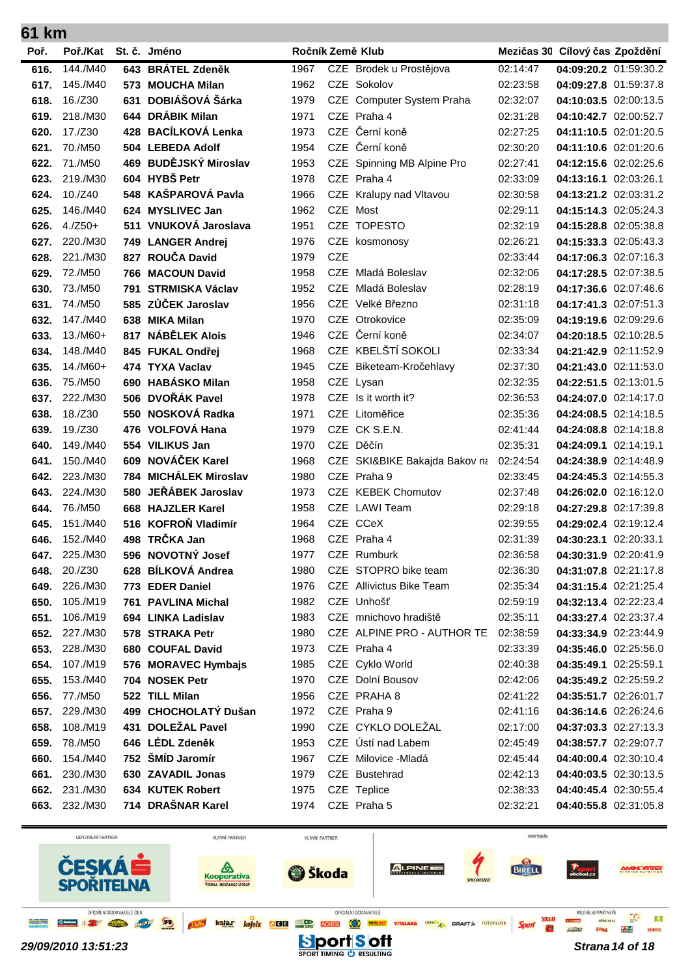|      | 61 km      |     |                        |      |            |                               |          |                                |  |  |  |
|------|------------|-----|------------------------|------|------------|-------------------------------|----------|--------------------------------|--|--|--|
| Poř. | Poř./Kat   |     | St. č. Jméno           |      |            | Ročník Země Klub              |          | Mezičas 30 Cílový čas Zpoždění |  |  |  |
| 616. | 144./M40   |     | 643 BRÁTEL Zdeněk      | 1967 |            | CZE Brodek u Prostějova       | 02:14:47 | 04:09:20.2 01:59:30.2          |  |  |  |
| 617. | 145./M40   | 573 | <b>MOUCHA Milan</b>    | 1962 |            | CZE Sokolov                   | 02:23:58 | 04:09:27.8 01:59:37.8          |  |  |  |
| 618. | 16./Z30    | 631 | DOBIÁŠOVÁ Šárka        | 1979 |            | CZE Computer System Praha     | 02:32:07 | 04:10:03.5 02:00:13.5          |  |  |  |
| 619. | 218./M30   |     | 644 DRÁBIK Milan       | 1971 |            | CZE Praha 4                   | 02:31:28 | 04:10:42.7 02:00:52.7          |  |  |  |
| 620. | 17./Z30    | 428 | <b>BACÍLKOVÁ Lenka</b> | 1973 |            | CZE Černí koně                | 02:27:25 | 04:11:10.5 02:01:20.5          |  |  |  |
| 621. | 70./M50    |     | 504 LEBEDA Adolf       | 1954 | <b>CZE</b> | Černí koně                    | 02:30:20 | 04:11:10.6 02:01:20.6          |  |  |  |
| 622. | 71./M50    |     | 469 BUDĚJSKÝ Miroslav  | 1953 |            | CZE Spinning MB Alpine Pro    | 02:27:41 | 04:12:15.6 02:02:25.6          |  |  |  |
| 623. | 219./M30   |     | 604 HYBŠ Petr          | 1978 |            | CZE Praha 4                   | 02:33:09 | 04:13:16.1 02:03:26.1          |  |  |  |
| 624. | 10./Z40    |     | 548 KAŠPAROVÁ Pavla    | 1966 |            | CZE Kralupy nad Vltavou       | 02:30:58 | 04:13:21.2 02:03:31.2          |  |  |  |
| 625. | 146./M40   |     | 624 MYSLIVEC Jan       | 1962 | <b>CZE</b> | Most                          | 02:29:11 | 04:15:14.3 02:05:24.3          |  |  |  |
| 626. | $4./Z50+$  |     | 511 VNUKOVÁ Jaroslava  | 1951 |            | CZE TOPESTO                   | 02:32:19 | 04:15:28.8 02:05:38.8          |  |  |  |
| 627. | 220./M30   |     | 749 LANGER Andrej      | 1976 |            | CZE kosmonosy                 | 02:26:21 | 04:15:33.3 02:05:43.3          |  |  |  |
| 628. | 221./M30   | 827 | ROUČA David            | 1979 | <b>CZE</b> |                               | 02:33:44 | 04:17:06.3 02:07:16.3          |  |  |  |
| 629. | 72./M50    | 766 | <b>MACOUN David</b>    | 1958 |            | CZE Mladá Boleslav            | 02:32:06 | 04:17:28.5 02:07:38.5          |  |  |  |
| 630. | 73./M50    | 791 | <b>STRMISKA Václav</b> | 1952 | <b>CZE</b> | Mladá Boleslav                | 02:28:19 | 04:17:36.6 02:07:46.6          |  |  |  |
| 631. | 74./M50    | 585 | ZŮČEK Jaroslav         | 1956 |            | CZE Velké Březno              | 02:31:18 | 04:17:41.3 02:07:51.3          |  |  |  |
| 632. | 147./M40   | 638 | <b>MIKA Milan</b>      | 1970 |            | CZE Otrokovice                | 02:35:09 | 04:19:19.6 02:09:29.6          |  |  |  |
| 633. | $13./M60+$ | 817 | <b>NÁBĚLEK Alois</b>   | 1946 | <b>CZE</b> | Černí koně                    | 02:34:07 | 04:20:18.5 02:10:28.5          |  |  |  |
| 634. | 148./M40   |     | 845 FUKAL Ondřej       | 1968 |            | CZE KBELŠTÍ SOKOLI            | 02:33:34 | 04:21:42.9 02:11:52.9          |  |  |  |
| 635. | $14./M60+$ |     | 474 TYXA Vaclav        | 1945 |            | CZE Biketeam-Kročehlavy       | 02:37:30 | 04:21:43.0 02:11:53.0          |  |  |  |
| 636. | 75./M50    |     | 690 HABÁSKO Milan      | 1958 |            | CZE Lysan                     | 02:32:35 | 04:22:51.5 02:13:01.5          |  |  |  |
| 637. | 222./M30   |     | 506 DVOŘÁK Pavel       | 1978 | <b>CZE</b> | Is it worth it?               | 02:36:53 | 04:24:07.0 02:14:17.0          |  |  |  |
| 638. | 18./Z30    | 550 | NOSKOVÁ Radka          | 1971 | <b>CZE</b> | Litoměřice                    | 02:35:36 | 04:24:08.5 02:14:18.5          |  |  |  |
| 639. | 19./Z30    | 476 | <b>VOLFOVÁ Hana</b>    | 1979 | <b>CZE</b> | CK S.E.N.                     | 02:41:44 | 04:24:08.8 02:14:18.8          |  |  |  |
| 640. | 149./M40   |     | 554 VILIKUS Jan        | 1970 |            | CZE Děčín                     | 02:35:31 | 04:24:09.1 02:14:19.1          |  |  |  |
| 641. | 150./M40   | 609 | NOVÁČEK Karel          | 1968 |            | CZE SKI&BIKE Bakajda Bakov na | 02:24:54 | 04:24:38.9 02:14:48.9          |  |  |  |
| 642. | 223./M30   |     | 784 MICHÁLEK Miroslav  | 1980 |            | CZE Praha 9                   | 02:33:45 | 04:24:45.3 02:14:55.3          |  |  |  |
| 643. | 224./M30   | 580 | JEŘÁBEK Jaroslav       | 1973 |            | CZE KEBEK Chomutov            | 02:37:48 | 04:26:02.0 02:16:12.0          |  |  |  |
| 644. | 76./M50    |     | 668 HAJZLER Karel      | 1958 |            | CZE LAWI Team                 | 02:29:18 | 04:27:29.8 02:17:39.8          |  |  |  |
| 645. | 151./M40   | 516 | <b>KOFROŇ Vladimír</b> | 1964 | <b>CZE</b> | <b>CCeX</b>                   | 02:39:55 | 04:29:02.4 02:19:12.4          |  |  |  |
| 646. | 152./M40   |     | 498 TRČKA Jan          | 1968 |            | CZE Praha 4                   | 02:31:39 | 04:30:23.1 02:20:33.1          |  |  |  |
| 647. | 225./M30   |     | 596 NOVOTNÝ Josef      | 1977 |            | CZE Rumburk                   | 02:36:58 | 04:30:31.9 02:20:41.9          |  |  |  |
| 648. | 20./Z30    |     | 628 BÍLKOVÁ Andrea     | 1980 |            | CZE STOPRO bike team          | 02:36:30 | 04:31:07.8 02:21:17.8          |  |  |  |
| 649. | 226./M30   |     | 773 EDER Daniel        | 1976 |            | CZE Allivictus Bike Team      | 02:35:34 | 04:31:15.4 02:21:25.4          |  |  |  |
| 650. | 105./M19   |     | 761 PAVLINA Michal     | 1982 |            | CZE Unhošť                    | 02:59:19 | 04:32:13.4 02:22:23.4          |  |  |  |
| 651. | 106./M19   |     | 694 LINKA Ladislav     | 1983 |            | CZE mnichovo hradiště         | 02:35:11 | 04:33:27.4 02:23:37.4          |  |  |  |
| 652. | 227./M30   |     | 578 STRAKA Petr        | 1980 |            | CZE ALPINE PRO - AUTHOR TE    | 02:38:59 | 04:33:34.9 02:23:44.9          |  |  |  |
| 653. | 228./M30   |     | 680 COUFAL David       | 1973 |            | CZE Praha 4                   | 02:33:39 | 04:35:46.0 02:25:56.0          |  |  |  |
| 654. | 107./M19   |     | 576 MORAVEC Hymbajs    | 1985 |            | CZE Cyklo World               | 02:40:38 | 04:35:49.1 02:25:59.1          |  |  |  |
| 655. | 153./M40   |     | 704 NOSEK Petr         | 1970 |            | CZE Dolní Bousov              | 02:42:06 | 04:35:49.2 02:25:59.2          |  |  |  |
| 656. | 77./M50    |     | 522 TILL Milan         | 1956 |            | CZE PRAHA 8                   | 02:41:22 | 04:35:51.7 02:26:01.7          |  |  |  |
| 657. | 229./M30   |     | 499 CHOCHOLATÝ Dušan   | 1972 |            | CZE Praha 9                   | 02:41:16 | 04:36:14.6 02:26:24.6          |  |  |  |
| 658. | 108./M19   |     | 431 DOLEŽAL Pavel      | 1990 |            | CZE CYKLO DOLEŽAL             | 02:17:00 | 04:37:03.3 02:27:13.3          |  |  |  |
| 659. | 78./M50    |     | 646 LÉDL Zdeněk        | 1953 |            | CZE Ústí nad Labem            | 02:45:49 | 04:38:57.7 02:29:07.7          |  |  |  |
| 660. | 154./M40   |     | 752 ŠMÍD Jaromír       | 1967 |            | CZE Milovice - Mladá          | 02:45:44 | 04:40:00.4 02:30:10.4          |  |  |  |
| 661. | 230./M30   |     | 630 ZAVADIL Jonas      | 1979 |            | CZE Bustehrad                 | 02:42:13 | 04:40:03.5 02:30:13.5          |  |  |  |
| 662. | 231./M30   |     | 634 KUTEK Robert       | 1975 |            | CZE Teplice                   | 02:38:33 | 04:40:45.4 02:30:55.4          |  |  |  |
| 663. | 232./M30   |     | 714 DRAŠNAR Karel      | 1974 |            | CZE Praha 5                   | 02:32:21 | 04:40:55.8 02:31:05.8          |  |  |  |

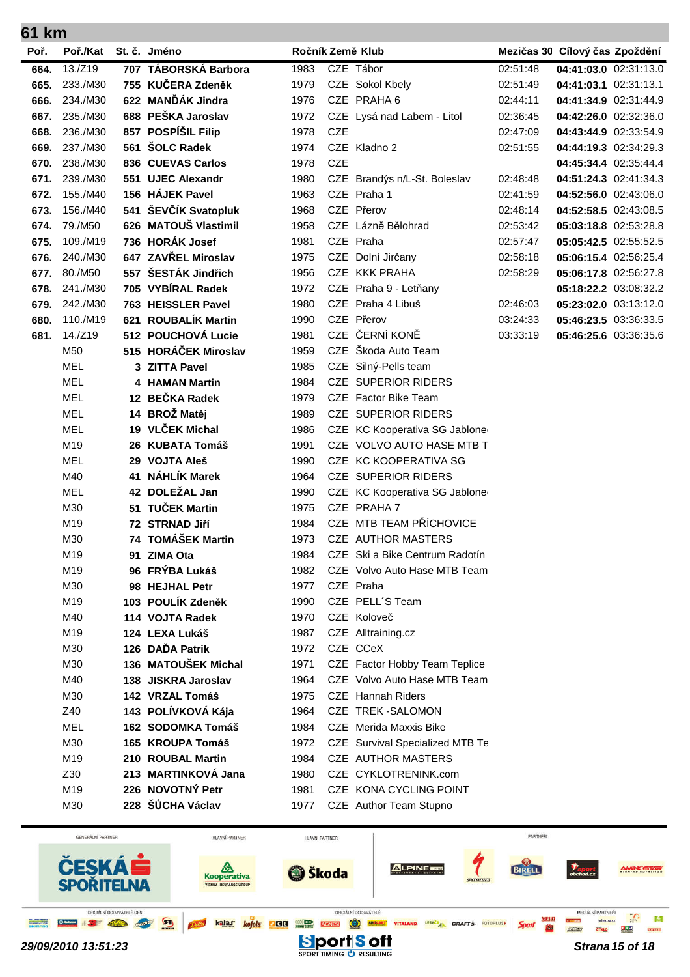| UI NIII |                 |    |                       |                  |            |                                 |          |                                |  |
|---------|-----------------|----|-----------------------|------------------|------------|---------------------------------|----------|--------------------------------|--|
| Poř.    | Poř./Kat        |    | St. č. Jméno          | Ročník Země Klub |            |                                 |          | Mezičas 30 Cílový čas Zpoždění |  |
| 664.    | $13./Z19$       |    | 707 TÁBORSKÁ Barbora  | 1983             |            | CZE Tábor                       | 02:51:48 | 04:41:03.0 02:31:13.0          |  |
| 665.    | 233./M30        |    | 755 KUČERA Zdeněk     | 1979             |            | CZE Sokol Kbely                 | 02:51:49 | 04:41:03.1 02:31:13.1          |  |
| 666.    | 234./M30        |    | 622 MANĎÁK Jindra     | 1976             |            | CZE PRAHA 6                     | 02:44:11 | 04:41:34.9 02:31:44.9          |  |
| 667.    | 235./M30        |    | 688 PEŠKA Jaroslav    | 1972             |            | CZE Lysá nad Labem - Litol      | 02:36:45 | 04:42:26.0 02:32:36.0          |  |
| 668.    | 236./M30        |    | 857 POSPÍŠIL Filip    | 1978             | <b>CZE</b> |                                 | 02:47:09 | 04:43:44.9 02:33:54.9          |  |
| 669.    | 237./M30        |    | 561 ŠOLC Radek        | 1974             |            | CZE Kladno 2                    | 02:51:55 | 04:44:19.3 02:34:29.3          |  |
| 670.    | 238./M30        |    | 836 CUEVAS Carlos     | 1978             | <b>CZE</b> |                                 |          | 04:45:34.4 02:35:44.4          |  |
| 671.    | 239./M30        |    | 551 UJEC Alexandr     | 1980             |            | CZE Brandýs n/L-St. Boleslav    | 02:48:48 | 04:51:24.3 02:41:34.3          |  |
| 672.    | 155./M40        |    | 156 HÁJEK Pavel       | 1963             |            | CZE Praha 1                     | 02:41:59 | 04:52:56.0 02:43:06.0          |  |
| 673.    | 156./M40        |    | 541 ŠEVČÍK Svatopluk  | 1968             |            | CZE Přerov                      | 02:48:14 | 04:52:58.5 02:43:08.5          |  |
| 674.    | 79./M50         |    | 626 MATOUŠ Vlastimil  | 1958             |            | CZE Lázně Bělohrad              | 02:53:42 | 05:03:18.8 02:53:28.8          |  |
| 675.    | 109./M19        |    | 736 HORÁK Josef       | 1981             |            | CZE Praha                       | 02:57:47 | 05:05:42.5 02:55:52.5          |  |
| 676.    | 240./M30        |    | 647 ZAVŘEL Miroslav   | 1975             |            | CZE Dolní Jirčany               | 02:58:18 | 05:06:15.4 02:56:25.4          |  |
| 677.    | 80./M50         |    | 557 ŠESTÁK Jindřich   | 1956             |            | CZE KKK PRAHA                   | 02:58:29 | 05:06:17.8 02:56:27.8          |  |
| 678.    | 241./M30        |    | 705 VYBÍRAL Radek     | 1972             |            | CZE Praha 9 - Letňany           |          | 05:18:22.2 03:08:32.2          |  |
| 679.    | 242./M30        |    | 763 HEISSLER Pavel    | 1980             |            | CZE Praha 4 Libuš               | 02:46:03 | 05:23:02.0 03:13:12.0          |  |
| 680.    | 110./M19        |    | 621 ROUBALÍK Martin   | 1990             |            | CZE Přerov                      | 03:24:33 | 05:46:23.5 03:36:33.5          |  |
| 681.    | 14./Z19         |    | 512 POUCHOVÁ Lucie    | 1981             |            | CZE ČERNÍ KONĚ                  | 03:33:19 | 05:46:25.6 03:36:35.6          |  |
|         | M50             |    | 515 HORÁČEK Miroslav  | 1959             |            | CZE Škoda Auto Team             |          |                                |  |
|         | <b>MEL</b>      |    | 3 ZITTA Pavel         | 1985             |            | CZE Silný-Pells team            |          |                                |  |
|         | <b>MEL</b>      |    | <b>4 HAMAN Martin</b> | 1984             |            | <b>CZE SUPERIOR RIDERS</b>      |          |                                |  |
|         | <b>MEL</b>      |    | 12 BEČKA Radek        | 1979             |            | CZE Factor Bike Team            |          |                                |  |
|         | <b>MEL</b>      |    | 14 BROŽ Matěj         | 1989             |            | <b>CZE SUPERIOR RIDERS</b>      |          |                                |  |
|         | <b>MEL</b>      |    | 19 VLČEK Michal       | 1986             |            | CZE KC Kooperativa SG Jablone   |          |                                |  |
|         | M19             |    | 26 KUBATA Tomáš       | 1991             |            | CZE VOLVO AUTO HASE MTB T       |          |                                |  |
|         | <b>MEL</b>      |    | 29 VOJTA Aleš         | 1990             |            | CZE KC KOOPERATIVA SG           |          |                                |  |
|         | M40             | 41 | NÁHLÍK Marek          | 1964             |            | <b>CZE SUPERIOR RIDERS</b>      |          |                                |  |
|         | <b>MEL</b>      |    | 42 DOLEŽAL Jan        | 1990             |            | CZE KC Kooperativa SG Jablone   |          |                                |  |
|         | M30             | 51 | <b>TUČEK Martin</b>   | 1975             |            | CZE PRAHA 7                     |          |                                |  |
|         | M <sub>19</sub> |    | 72 STRNAD Jiří        | 1984             |            | CZE MTB TEAM PŘÍCHOVICE         |          |                                |  |
|         | M30             |    | 74 TOMÁŠEK Martin     | 1973             |            | CZE AUTHOR MASTERS              |          |                                |  |
|         | M19             |    | 91 ZIMA Ota           | 1984             |            | CZE Ski a Bike Centrum Radotín  |          |                                |  |
|         | M19             |    | 96 FRÝBA Lukáš        | 1982             |            | CZE Volvo Auto Hase MTB Team    |          |                                |  |
|         | M30             |    | 98 HEJHAL Petr        | 1977             |            | CZE Praha                       |          |                                |  |
|         | M19             |    | 103 POULÍK Zdeněk     | 1990             |            | CZE PELL'S Team                 |          |                                |  |
|         | M40             |    | 114 VOJTA Radek       | 1970             |            | CZE Koloveč                     |          |                                |  |
|         | M19             |    | 124 LEXA Lukáš        | 1987             |            | CZE Alltraining.cz              |          |                                |  |
|         | M30             |    | 126 DAĎA Patrik       | 1972             |            | CZE CCeX                        |          |                                |  |
|         | M30             |    | 136 MATOUŠEK Michal   | 1971             |            | CZE Factor Hobby Team Teplice   |          |                                |  |
|         | M40             |    | 138 JISKRA Jaroslav   | 1964             |            | CZE Volvo Auto Hase MTB Team    |          |                                |  |
|         | M30             |    | 142 VRZAL Tomáš       | 1975             |            | CZE Hannah Riders               |          |                                |  |
|         | Z40             |    | 143 POLÍVKOVÁ Kája    | 1964             |            | CZE TREK-SALOMON                |          |                                |  |
|         | <b>MEL</b>      |    | 162 SODOMKA Tomáš     | 1984             |            | CZE Merida Maxxis Bike          |          |                                |  |
|         | M30             |    | 165 KROUPA Tomáš      | 1972             |            | CZE Survival Specialized MTB Te |          |                                |  |
|         | M19             |    | 210 ROUBAL Martin     | 1984             |            | CZE AUTHOR MASTERS              |          |                                |  |
|         | Z30             |    | 213 MARTINKOVÁ Jana   | 1980             |            | CZE CYKLOTRENINK.com            |          |                                |  |
|         | M19             |    | 226 NOVOTNÝ Petr      | 1981             |            | CZE KONA CYCLING POINT          |          |                                |  |
|         | M30             |    | 228 ŠŮCHA Václav      | 1977             |            | CZE Author Team Stupno          |          |                                |  |
|         |                 |    |                       |                  |            |                                 |          |                                |  |

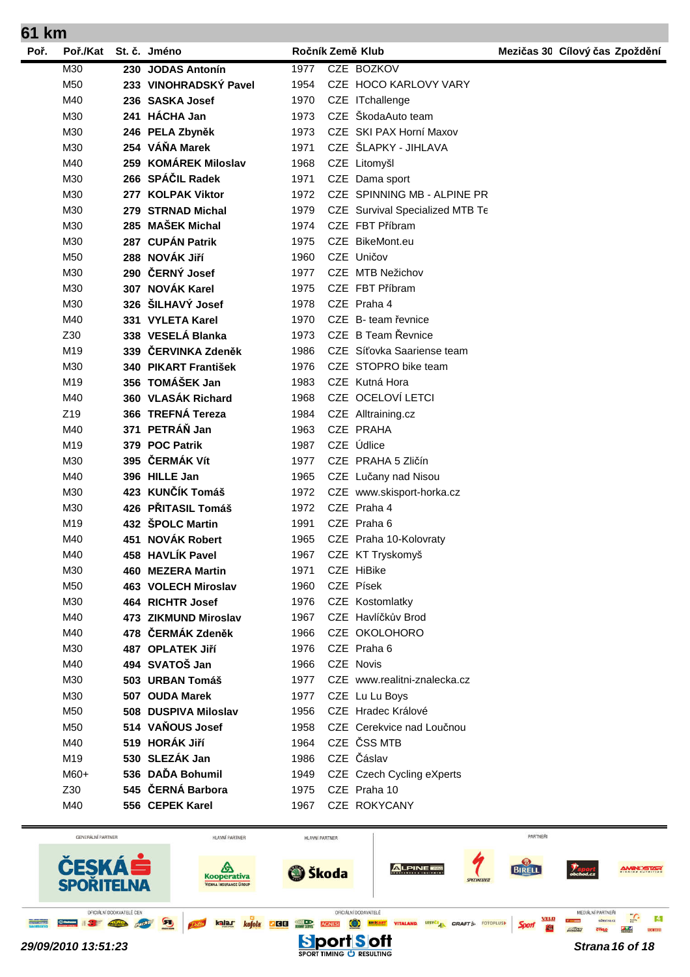| 61 km |                 |                            |      |                                 |                                |
|-------|-----------------|----------------------------|------|---------------------------------|--------------------------------|
| Poř.  | Poř./Kat        | St. č. Jméno               |      | Ročník Země Klub                | Mezičas 30 Cílový čas Zpoždění |
|       | M30             | 230 JODAS Antonín          | 1977 | CZE BOZKOV                      |                                |
|       | M <sub>50</sub> | 233 VINOHRADSKÝ Pavel      | 1954 | CZE HOCO KARLOVY VARY           |                                |
|       | M40             | 236 SASKA Josef            | 1970 | CZE ITchallenge                 |                                |
|       | M30             | 241 HÁCHA Jan              | 1973 | CZE ŠkodaAuto team              |                                |
|       | M30             | 246 PELA Zbyněk            | 1973 | CZE SKI PAX Horní Maxov         |                                |
|       | M30             | 254 VÁŇA Marek             | 1971 | CZE ŠLAPKY - JIHLAVA            |                                |
|       | M40             | 259 KOMÁREK Miloslav       | 1968 | CZE Litomyšl                    |                                |
|       | M30             | 266 SPÁČIL Radek           | 1971 | CZE Dama sport                  |                                |
|       | M30             | 277 KOLPAK Viktor          | 1972 | CZE SPINNING MB - ALPINE PR     |                                |
|       | M30             | 279 STRNAD Michal          | 1979 | CZE Survival Specialized MTB Te |                                |
|       | M30             | 285 MAŠEK Michal           | 1974 | CZE FBT Příbram                 |                                |
|       | M30             | 287 CUPÁN Patrik           | 1975 | CZE BikeMont.eu                 |                                |
|       | M <sub>50</sub> | 288 NOVÁK Jiří             | 1960 | CZE Uničov                      |                                |
|       | M30             | 290 ČERNÝ Josef            | 1977 | CZE MTB Nežichov                |                                |
|       | M30             | 307 NOVÁK Karel            | 1975 | CZE FBT Příbram                 |                                |
|       | M30             | 326 ŠILHAVÝ Josef          | 1978 | CZE Praha 4                     |                                |
|       | M40             | 331 VYLETA Karel           | 1970 | CZE B- team řevnice             |                                |
|       | Z30             | 338 VESELÁ Blanka          | 1973 | CZE B Team Řevnice              |                                |
|       | M19             | 339 ČERVINKA Zdeněk        | 1986 | CZE Síťovka Saariense team      |                                |
|       | M30             | 340 PIKART František       | 1976 | CZE STOPRO bike team            |                                |
|       | M <sub>19</sub> | 356 TOMÁŠEK Jan            | 1983 | CZE Kutná Hora                  |                                |
|       | M40             | 360 VLASÁK Richard         | 1968 | CZE OCELOVÍ LETCI               |                                |
|       | Z <sub>19</sub> | 366 TREFNÁ Tereza          | 1984 | CZE Alltraining.cz              |                                |
|       | M40             | 371 PETRÁŇ Jan             | 1963 | CZE PRAHA                       |                                |
|       | M <sub>19</sub> | 379 POC Patrik             | 1987 | CZE Údlice                      |                                |
|       | M30             | 395 ČERMÁK Vít             | 1977 | CZE PRAHA 5 Zličín              |                                |
|       | M40             | 396 HILLE Jan              | 1965 | CZE Lučany nad Nisou            |                                |
|       | M30             | 423 KUNČÍK Tomáš           | 1972 | CZE www.skisport-horka.cz       |                                |
|       | M30             | 426 PŘITASIL Tomáš         | 1972 | CZE Praha 4                     |                                |
|       | M <sub>19</sub> | 432 SPOLC Martin           | 1991 | CZE Praha 6                     |                                |
|       | M40             | 451 NOVÁK Robert           | 1965 | CZE Praha 10-Kolovraty          |                                |
|       | M40             | 458 HAVLÍK Pavel           | 1967 | CZE KT Tryskomyš                |                                |
|       | M30             | <b>460 MEZERA Martin</b>   | 1971 | CZE HiBike                      |                                |
|       | M50             | <b>463 VOLECH Miroslav</b> | 1960 | CZE Písek                       |                                |
|       | M30             | 464 RICHTR Josef           | 1976 | CZE Kostomlatky                 |                                |
|       | M40             | 473 ZIKMUND Miroslav       | 1967 | CZE Havlíčkův Brod              |                                |
|       | M40             | 478 ČERMÁK Zdeněk          | 1966 | CZE OKOLOHORO                   |                                |
|       | M30             | 487 OPLATEK Jiří           | 1976 | CZE Praha 6                     |                                |
|       | M40             | 494 SVATOŠ Jan             | 1966 | CZE Novis                       |                                |
|       | M30             | 503 URBAN Tomáš            | 1977 | CZE www.realitni-znalecka.cz    |                                |
|       | M30             | 507 OUDA Marek             | 1977 | CZE Lu Lu Boys                  |                                |
|       | M <sub>50</sub> | 508 DUSPIVA Miloslav       | 1956 | CZE Hradec Králové              |                                |
|       | M50             | 514 VAŇOUS Josef           | 1958 | CZE Cerekvice nad Loučnou       |                                |
|       | M40             | 519 HORÁK Jiří             | 1964 | CZE ČSS MTB                     |                                |
|       | M19             | 530 SLEZÁK Jan             | 1986 | CZE Čáslav                      |                                |
|       | $M60+$          | 536 DAĎA Bohumil           | 1949 | CZE Czech Cycling eXperts       |                                |
|       |                 | 545 ČERNÁ Barbora          | 1975 | CZE Praha 10                    |                                |
|       | Z30<br>M40      |                            |      |                                 |                                |
|       |                 | 556 CEPEK Karel            | 1967 | CZE ROKYCANY                    |                                |

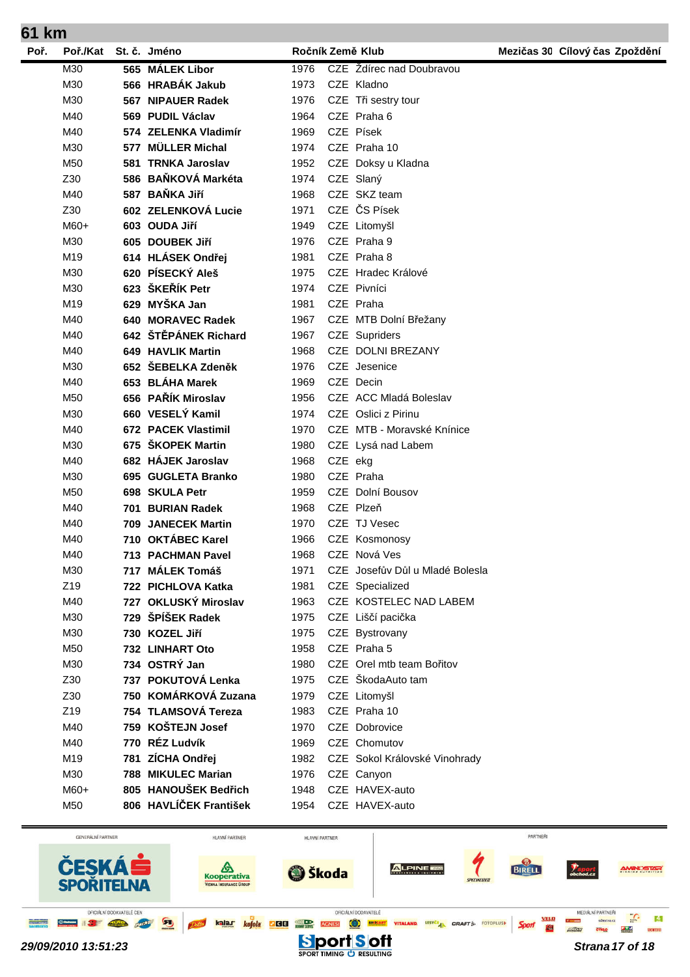| Poř. | Poř./Kat | St. č. Jméno             | Ročník Země Klub |         |                                 | Mezičas 30 Cílový čas Zpoždění |
|------|----------|--------------------------|------------------|---------|---------------------------------|--------------------------------|
|      | M30      | 565 MÁLEK Libor          | 1976             |         | CZE Ždírec nad Doubravou        |                                |
|      | M30      | 566 HRABÁK Jakub         | 1973             |         | CZE Kladno                      |                                |
|      | M30      | 567 NIPAUER Radek        | 1976             |         | CZE Tři sestry tour             |                                |
|      | M40      | 569 PUDIL Václav         | 1964             |         | CZE Praha 6                     |                                |
|      | M40      | 574 ZELENKA Vladimír     | 1969             |         | CZE Písek                       |                                |
|      | M30      | 577 MÜLLER Michal        | 1974             |         | CZE Praha 10                    |                                |
|      | M50      | 581 TRNKA Jaroslav       | 1952             |         | CZE Doksy u Kladna              |                                |
|      | Z30      | 586 BAŇKOVÁ Markéta      | 1974             |         | CZE Slaný                       |                                |
|      | M40      | 587 BAŇKA Jiří           | 1968             |         | CZE SKZ team                    |                                |
|      | Z30      | 602 ZELENKOVÁ Lucie      | 1971             |         | CZE ČS Písek                    |                                |
|      | $M60+$   | 603 OUDA Jiří            | 1949             |         | CZE Litomyšl                    |                                |
|      | M30      | 605 DOUBEK Jiří          | 1976             |         | CZE Praha 9                     |                                |
|      | M19      | 614 HLÁSEK Ondřej        | 1981             |         | CZE Praha 8                     |                                |
|      | M30      | 620 PÍSECKÝ Aleš         | 1975             |         | CZE Hradec Králové              |                                |
|      | M30      | 623 ŠKEŘÍK Petr          | 1974             |         | CZE Pivníci                     |                                |
|      | M19      | 629 MYŠKA Jan            | 1981             |         | CZE Praha                       |                                |
|      | M40      | 640 MORAVEC Radek        | 1967             |         | CZE MTB Dolní Břežany           |                                |
|      | M40      | 642 ŠTĚPÁNEK Richard     | 1967             |         | CZE Supriders                   |                                |
|      | M40      | 649 HAVLIK Martin        | 1968             |         | CZE DOLNI BREZANY               |                                |
|      | M30      | 652 ŠEBELKA Zdeněk       | 1976             |         | CZE Jesenice                    |                                |
|      | M40      | 653 BLÁHA Marek          | 1969             |         | CZE Decin                       |                                |
|      | M50      | 656 PAŘÍK Miroslav       | 1956             |         | CZE ACC Mladá Boleslav          |                                |
|      | M30      | 660 VESELÝ Kamil         | 1974             |         | CZE Oslici z Pirinu             |                                |
|      | M40      | 672 PACEK Vlastimil      | 1970             |         | CZE MTB - Moravské Knínice      |                                |
|      | M30      | 675 ŠKOPEK Martin        | 1980             |         | CZE Lysá nad Labem              |                                |
|      | M40      | 682 HÁJEK Jaroslav       | 1968             | CZE ekg |                                 |                                |
|      | M30      | 695 GUGLETA Branko       | 1980             |         | CZE Praha                       |                                |
|      | M50      | 698 SKULA Petr           | 1959             |         | CZE Dolní Bousov                |                                |
|      | M40      | 701 BURIAN Radek         | 1968             |         | CZE Plzeň                       |                                |
|      | M40      | 709 JANECEK Martin       | 1970             |         | CZE TJ Vesec                    |                                |
|      | M40      | 710 OKTÁBEC Karel        | 1966             |         | CZE Kosmonosy                   |                                |
|      | M40      | <b>713 PACHMAN Pavel</b> | 1968             |         | CZE Nová Ves                    |                                |
|      | M30      | 717 MÁLEK Tomáš          | 1971             |         | CZE Josefův Důl u Mladé Bolesla |                                |
|      | Z19      | 722 PICHLOVA Katka       | 1981             |         | CZE Specialized                 |                                |
|      | M40      | 727 OKLUSKÝ Miroslav     | 1963             |         | CZE KOSTELEC NAD LABEM          |                                |
|      | M30      | 729 ŠPÍŠEK Radek         | 1975             |         | CZE Liščí pacička               |                                |
|      | M30      | 730 KOZEL Jiří           | 1975             |         | CZE Bystrovany                  |                                |
|      | M50      | <b>732 LINHART Oto</b>   | 1958             |         | CZE Praha 5                     |                                |
|      | M30      | 734 OSTRÝ Jan            | 1980             |         | CZE Orel mtb team Bořitov       |                                |
|      | Z30      | 737 POKUTOVÁ Lenka       | 1975             |         | CZE ŠkodaAuto tam               |                                |
|      | Z30      | 750 KOMÁRKOVÁ Zuzana     | 1979             |         | CZE Litomyšl                    |                                |
|      | Z19      | 754 TLAMSOVÁ Tereza      | 1983             |         | CZE Praha 10                    |                                |
|      | M40      | 759 KOŠTEJN Josef        | 1970             |         | CZE Dobrovice                   |                                |
|      | M40      | 770 RÉZ Ludvík           | 1969             |         | CZE Chomutov                    |                                |
|      | M19      | 781 ZÍCHA Ondřej         | 1982             |         | CZE Sokol Královské Vinohrady   |                                |
|      | M30      | 788 MIKULEC Marian       | 1976             |         | CZE Canyon                      |                                |
|      | M60+     | 805 HANOUŠEK Bedřich     | 1948             |         | CZE HAVEX-auto                  |                                |
|      | M50      | 806 HAVLÍČEK František   | 1954             |         | CZE HAVEX-auto                  |                                |
|      |          |                          |                  |         |                                 |                                |